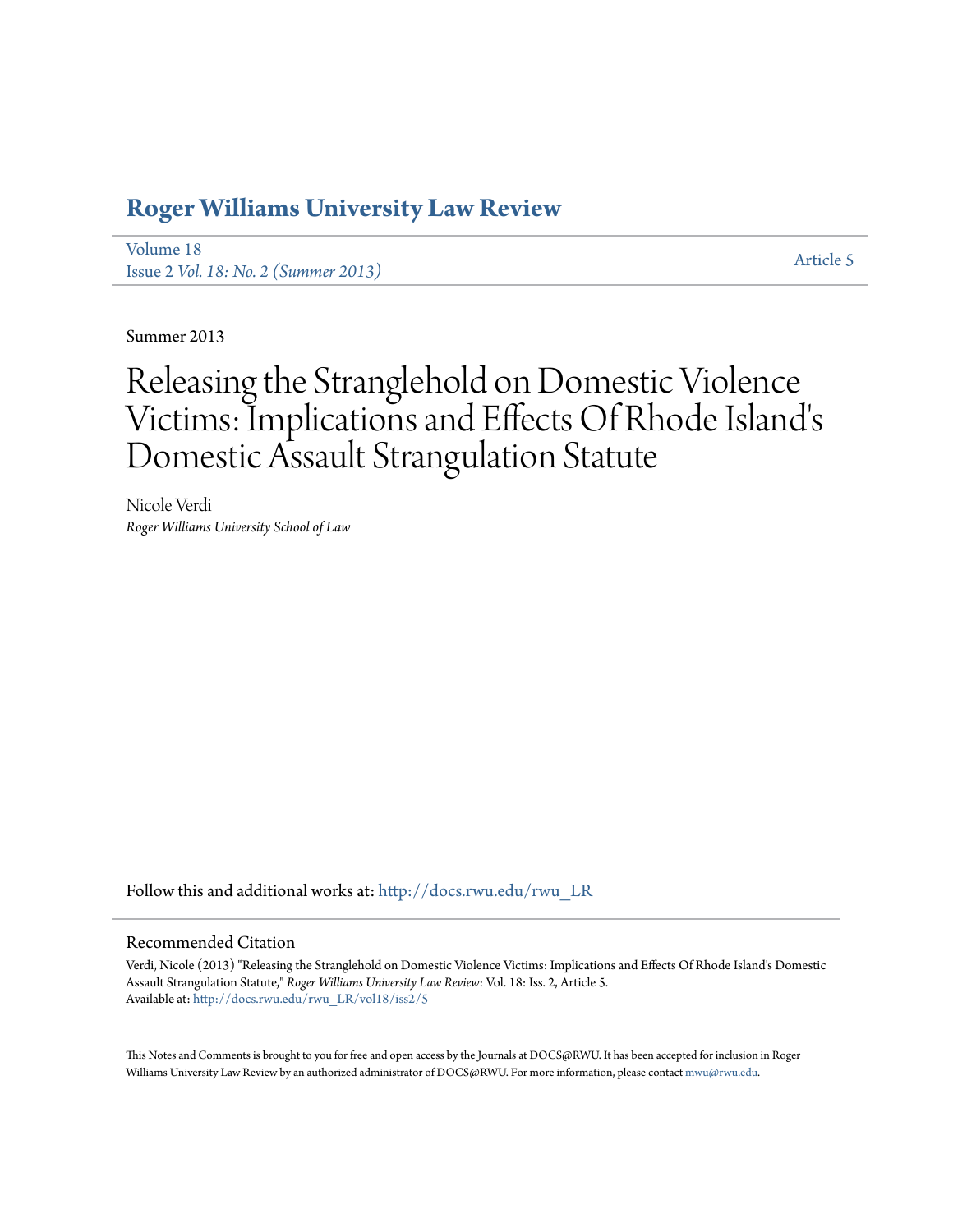# **[Roger Williams University Law Review](http://docs.rwu.edu/rwu_LR?utm_source=docs.rwu.edu%2Frwu_LR%2Fvol18%2Fiss2%2F5&utm_medium=PDF&utm_campaign=PDFCoverPages)**

[Volume 18](http://docs.rwu.edu/rwu_LR/vol18?utm_source=docs.rwu.edu%2Frwu_LR%2Fvol18%2Fiss2%2F5&utm_medium=PDF&utm_campaign=PDFCoverPages) Issue 2 *[Vol. 18: No. 2 \(Summer 2013\)](http://docs.rwu.edu/rwu_LR/vol18/iss2?utm_source=docs.rwu.edu%2Frwu_LR%2Fvol18%2Fiss2%2F5&utm_medium=PDF&utm_campaign=PDFCoverPages)* [Article 5](http://docs.rwu.edu/rwu_LR/vol18/iss2/5?utm_source=docs.rwu.edu%2Frwu_LR%2Fvol18%2Fiss2%2F5&utm_medium=PDF&utm_campaign=PDFCoverPages)

Summer 2013

# Releasing the Stranglehold on Domestic Violence Victims: Implications and Effects Of Rhode Island's Domestic Assault Strangulation Statute

Nicole Verdi *Roger Williams University School of Law*

Follow this and additional works at: [http://docs.rwu.edu/rwu\\_LR](http://docs.rwu.edu/rwu_LR?utm_source=docs.rwu.edu%2Frwu_LR%2Fvol18%2Fiss2%2F5&utm_medium=PDF&utm_campaign=PDFCoverPages)

# Recommended Citation

Verdi, Nicole (2013) "Releasing the Stranglehold on Domestic Violence Victims: Implications and Effects Of Rhode Island's Domestic Assault Strangulation Statute," *Roger Williams University Law Review*: Vol. 18: Iss. 2, Article 5. Available at: [http://docs.rwu.edu/rwu\\_LR/vol18/iss2/5](http://docs.rwu.edu/rwu_LR/vol18/iss2/5?utm_source=docs.rwu.edu%2Frwu_LR%2Fvol18%2Fiss2%2F5&utm_medium=PDF&utm_campaign=PDFCoverPages)

This Notes and Comments is brought to you for free and open access by the Journals at DOCS@RWU. It has been accepted for inclusion in Roger Williams University Law Review by an authorized administrator of DOCS@RWU. For more information, please contact [mwu@rwu.edu.](mailto:mwu@rwu.edu)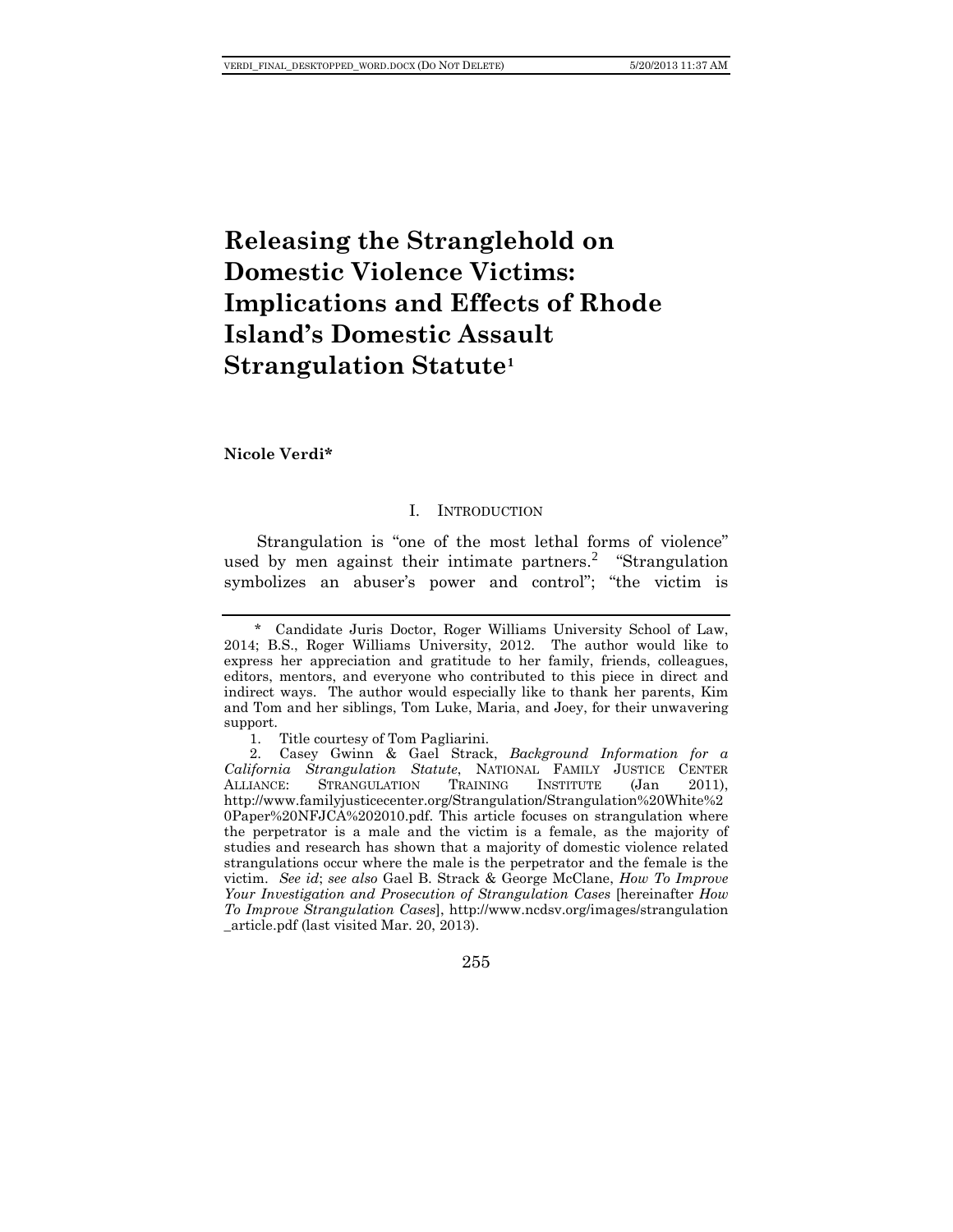# **Releasing the Stranglehold on Domestic Violence Victims: Implications and Effects of Rhode Island's Domestic Assault Strangulation Statute[1](#page-1-0)**

**Nicole Verdi\***

#### I. INTRODUCTION

Strangulation is "one of the most lethal forms of violence" used by men against their intimate partners.<sup>[2](#page-1-1)</sup> "Strangulation symbolizes an abuser's power and control"; "the victim is

<span id="page-1-1"></span><sup>2.</sup> Casey Gwinn & Gael Strack, *Background Information for a California Strangulation Statute*, NATIONAL FAMILY JUSTICE CENTER ALLIANCE: STRANGULATION http://www.familyjusticecenter.org/Strangulation/Strangulation%20White%2 0Paper%20NFJCA%202010.pdf. This article focuses on strangulation where the perpetrator is a male and the victim is a female, as the majority of studies and research has shown that a majority of domestic violence related strangulations occur where the male is the perpetrator and the female is the victim. *See id*; *see also* Gael B. Strack & George McClane, *How To Improve Your Investigation and Prosecution of Strangulation Cases* [hereinafter *How To Improve Strangulation Cases*], http://www.ncdsv.org/images/strangulation \_article.pdf (last visited Mar. 20, 2013).



<span id="page-1-0"></span><sup>\*</sup> Candidate Juris Doctor, Roger Williams University School of Law, 2014; B.S., Roger Williams University, 2012. The author would like to express her appreciation and gratitude to her family, friends, colleagues, editors, mentors, and everyone who contributed to this piece in direct and indirect ways. The author would especially like to thank her parents, Kim and Tom and her siblings, Tom Luke, Maria, and Joey, for their unwavering support.

<sup>1.</sup> Title courtesy of Tom Pagliarini.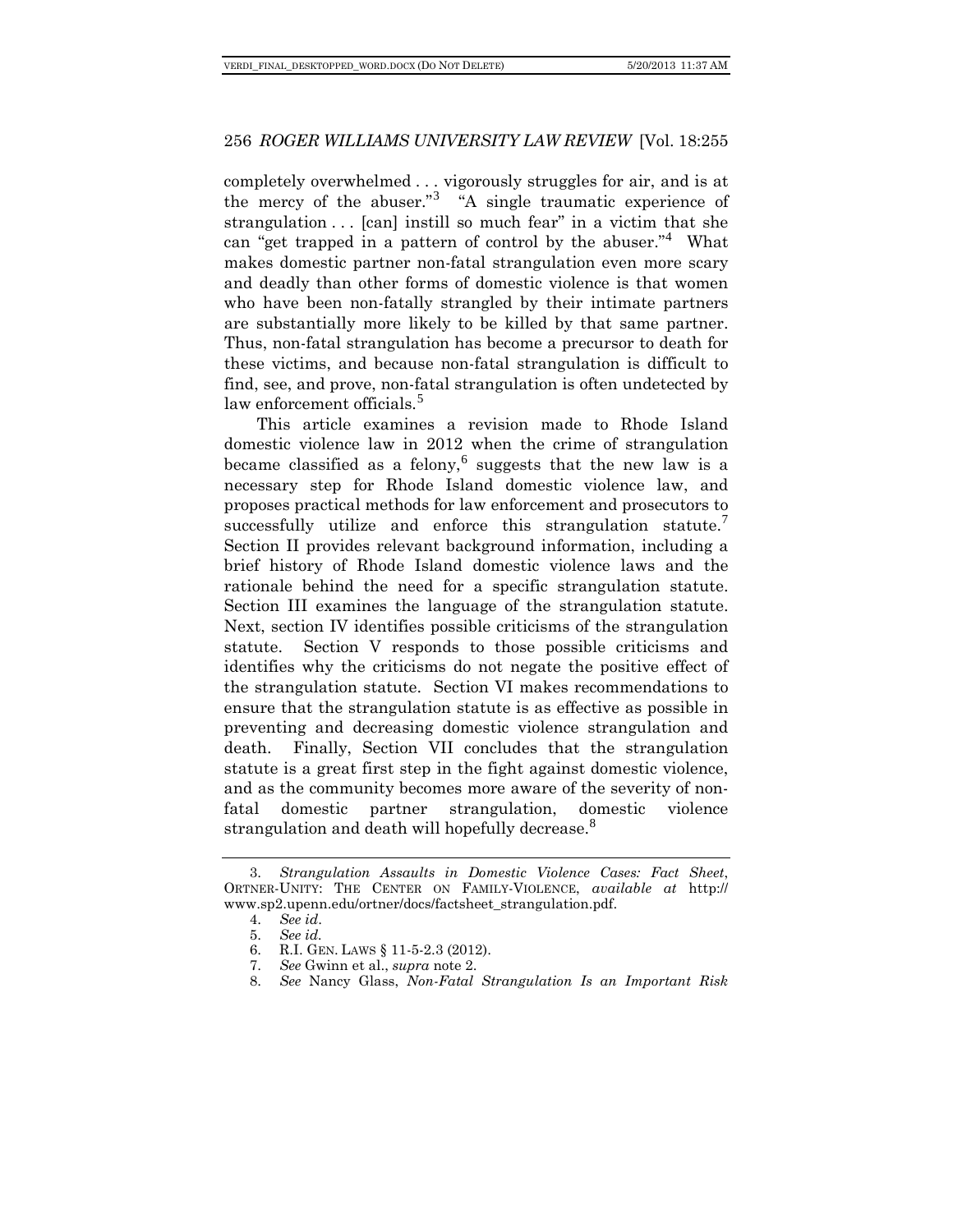completely overwhelmed . . . vigorously struggles for air, and is at the mercy of the abuser."<sup>[3](#page-2-0)</sup> "A single traumatic experience of strangulation . . . [can] instill so much fear" in a victim that she can "get trapped in a pattern of control by the abuser."<sup>[4](#page-2-1)</sup> What makes domestic partner non-fatal strangulation even more scary and deadly than other forms of domestic violence is that women who have been non-fatally strangled by their intimate partners are substantially more likely to be killed by that same partner. Thus, non-fatal strangulation has become a precursor to death for these victims, and because non-fatal strangulation is difficult to find, see, and prove, non-fatal strangulation is often undetected by law enforcement officials.<sup>[5](#page-2-2)</sup>

This article examines a revision made to Rhode Island domestic violence law in 2012 when the crime of strangulation became classified as a felony,  $6 \text{ suggests that the new law is a}$  $6 \text{ suggests that the new law is a}$ necessary step for Rhode Island domestic violence law, and proposes practical methods for law enforcement and prosecutors to successfully utilize and enforce this strangulation statute. Section II provides relevant background information, including a brief history of Rhode Island domestic violence laws and the rationale behind the need for a specific strangulation statute. Section III examines the language of the strangulation statute. Next, section IV identifies possible criticisms of the strangulation statute. Section V responds to those possible criticisms and identifies why the criticisms do not negate the positive effect of the strangulation statute. Section VI makes recommendations to ensure that the strangulation statute is as effective as possible in preventing and decreasing domestic violence strangulation and death. Finally, Section VII concludes that the strangulation statute is a great first step in the fight against domestic violence, and as the community becomes more aware of the severity of nonfatal domestic partner strangulation, domestic violence strangulation and death will hopefully decrease.<sup>[8](#page-2-5)</sup>

<span id="page-2-4"></span><span id="page-2-3"></span><span id="page-2-2"></span><span id="page-2-1"></span><span id="page-2-0"></span><sup>3.</sup> *Strangulation Assaults in Domestic Violence Cases: Fact Sheet*, ORTNER-UNITY: THE CENTER ON FAMILY-VIOLENCE, *available at* http:// www.sp2.upenn.edu/ortner/docs/factsheet\_strangulation.pdf.

<sup>4.</sup> *See id*.

<sup>5.</sup> *See id.*

<sup>6.</sup> R.I. GEN. LAWS § 11-5-2.3 (2012).

<span id="page-2-5"></span><sup>7.</sup> *See* Gwinn et al., *supra* note 2.

<sup>8.</sup> *See* Nancy Glass, *Non-Fatal Strangulation Is an Important Risk*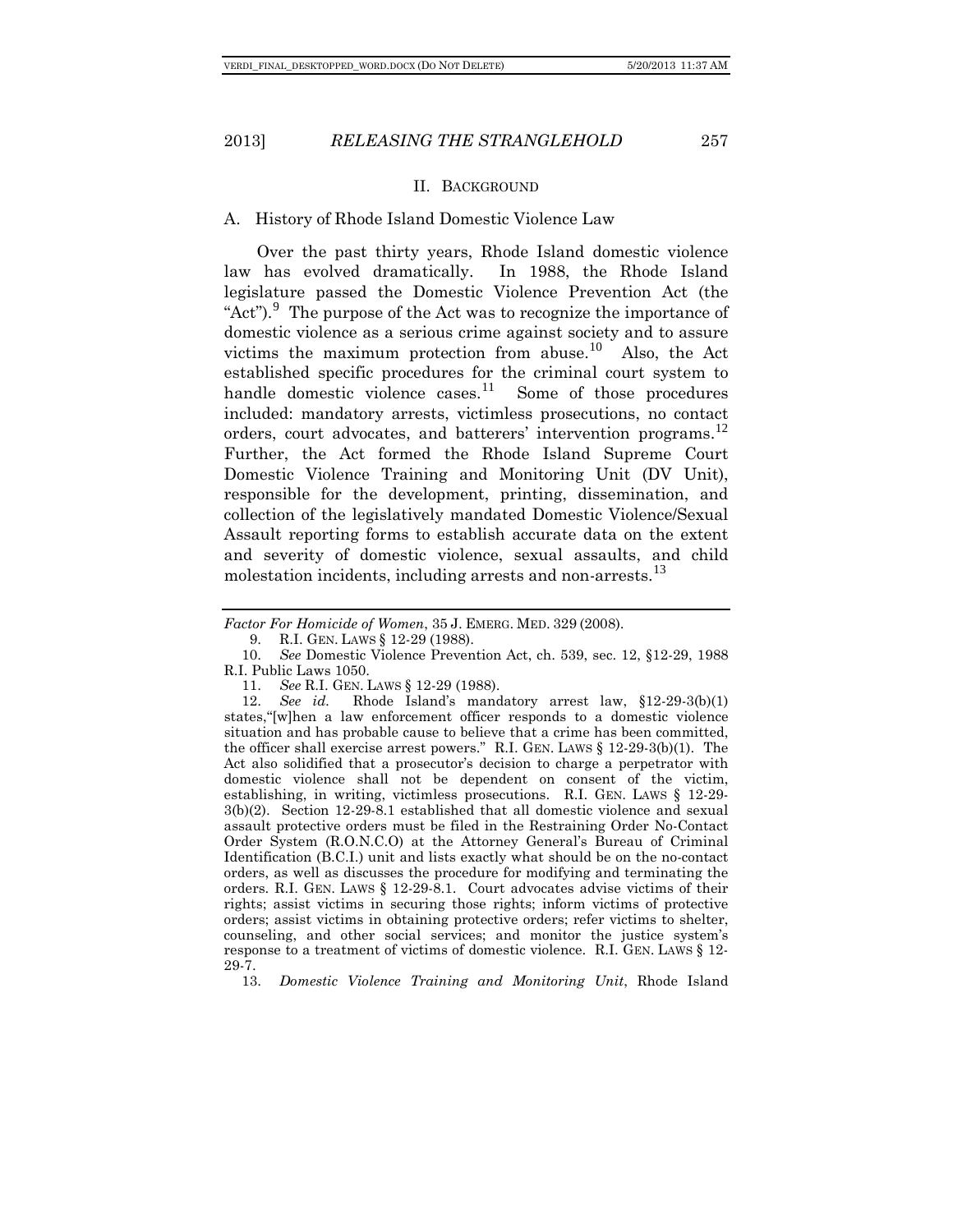#### II. BACKGROUND

#### A. History of Rhode Island Domestic Violence Law

Over the past thirty years, Rhode Island domestic violence law has evolved dramatically. In 1988, the Rhode Island legislature passed the Domestic Violence Prevention Act (the "Act"). $\degree$  The purpose of the Act was to recognize the importance of domestic violence as a serious crime against society and to assure victims the maximum protection from abuse.<sup>[10](#page-3-1)</sup> Also, the Act established specific procedures for the criminal court system to handle domestic violence cases.<sup>[11](#page-3-2)</sup> Some of those procedures included: mandatory arrests, victimless prosecutions, no contact orders, court advocates, and batterers' intervention programs.<sup>[12](#page-3-3)</sup> Further, the Act formed the Rhode Island Supreme Court Domestic Violence Training and Monitoring Unit (DV Unit), responsible for the development, printing, dissemination, and collection of the legislatively mandated Domestic Violence/Sexual Assault reporting forms to establish accurate data on the extent and severity of domestic violence, sexual assaults, and child molestation incidents, including arrests and non-arrests.<sup>[13](#page-3-4)</sup>

*Factor For Homicide of Women*, 35 J. EMERG. MED. 329 (2008).

9. R.I. GEN. LAWS § 12-29 (1988).

<span id="page-3-1"></span><span id="page-3-0"></span>10. *See* Domestic Violence Prevention Act, ch. 539, sec. 12, §12-29, 1988 R.I. Public Laws 1050.

11. *See* R.I. GEN. LAWS § 12-29 (1988).

<span id="page-3-3"></span><span id="page-3-2"></span>12. *See id.* Rhode Island's mandatory arrest law, §12-29-3(b)(1) states,"[w]hen a law enforcement officer responds to a domestic violence situation and has probable cause to believe that a crime has been committed, the officer shall exercise arrest powers." R.I. GEN. LAWS § 12-29-3(b)(1). The Act also solidified that a prosecutor's decision to charge a perpetrator with domestic violence shall not be dependent on consent of the victim, establishing, in writing, victimless prosecutions. R.I. GEN. LAWS § 12-29- 3(b)(2). Section 12-29-8.1 established that all domestic violence and sexual assault protective orders must be filed in the Restraining Order No-Contact Order System (R.O.N.C.O) at the Attorney General's Bureau of Criminal Identification (B.C.I.) unit and lists exactly what should be on the no-contact orders, as well as discusses the procedure for modifying and terminating the orders. R.I. GEN. LAWS § 12-29-8.1. Court advocates advise victims of their rights; assist victims in securing those rights; inform victims of protective orders; assist victims in obtaining protective orders; refer victims to shelter, counseling, and other social services; and monitor the justice system's response to a treatment of victims of domestic violence. R.I. GEN. LAWS § 12- 29-7.

<span id="page-3-4"></span>13. *Domestic Violence Training and Monitoring Unit*, Rhode Island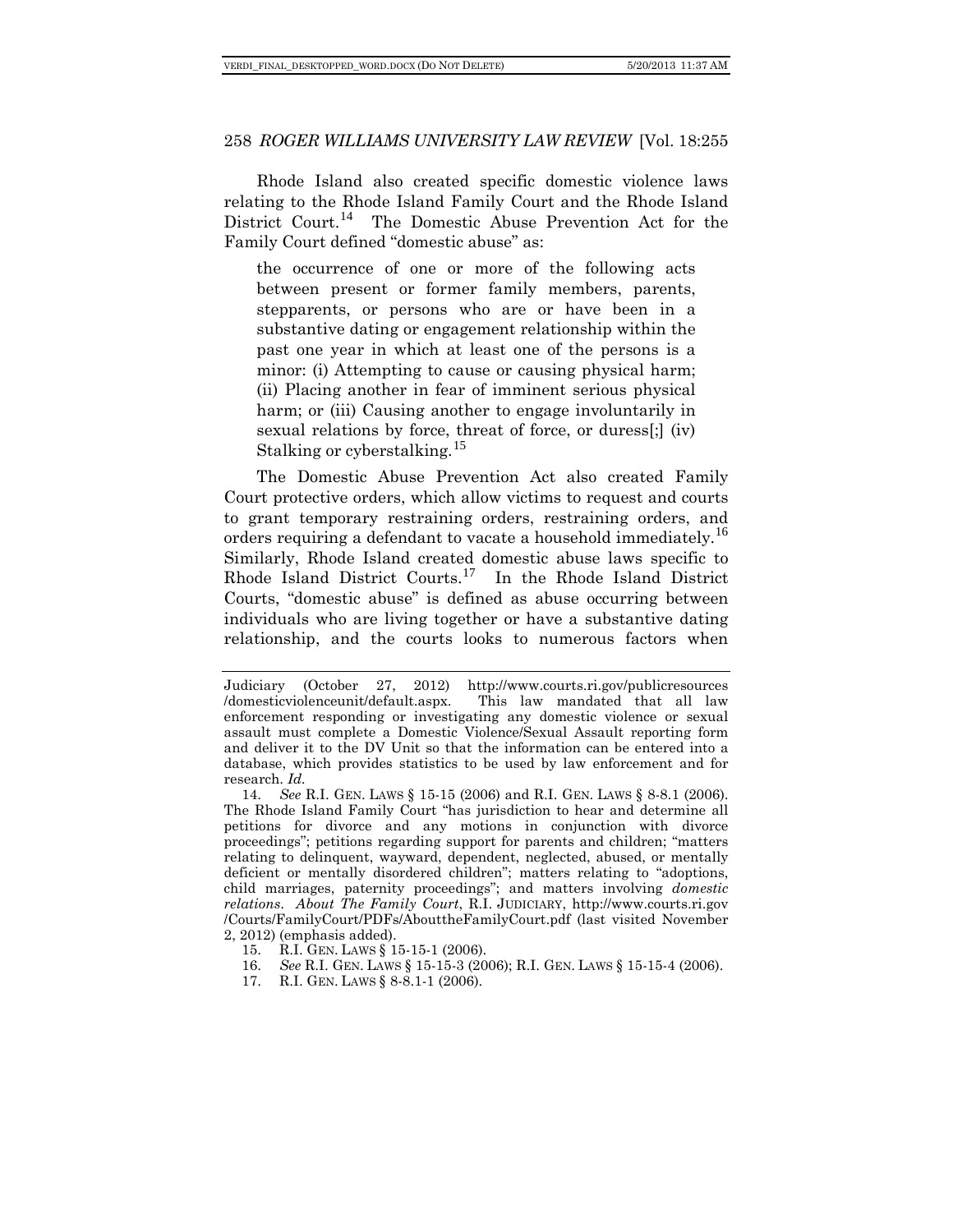Rhode Island also created specific domestic violence laws relating to the Rhode Island Family Court and the Rhode Island District Court.[14](#page-4-0) The Domestic Abuse Prevention Act for the Family Court defined "domestic abuse" as:

the occurrence of one or more of the following acts between present or former family members, parents, stepparents, or persons who are or have been in a substantive dating or engagement relationship within the past one year in which at least one of the persons is a minor: (i) Attempting to cause or causing physical harm; (ii) Placing another in fear of imminent serious physical harm; or (iii) Causing another to engage involuntarily in sexual relations by force, threat of force, or duress[;] (iv) Stalking or cyberstalking.<sup>[15](#page-4-1)</sup>

The Domestic Abuse Prevention Act also created Family Court protective orders, which allow victims to request and courts to grant temporary restraining orders, restraining orders, and orders requiring a defendant to vacate a household immediately.<sup>[16](#page-4-2)</sup> Similarly, Rhode Island created domestic abuse laws specific to Rhode Island District Courts.[17](#page-4-3) In the Rhode Island District Courts, "domestic abuse" is defined as abuse occurring between individuals who are living together or have a substantive dating relationship, and the courts looks to numerous factors when

- <span id="page-4-2"></span><span id="page-4-1"></span>15. R.I. GEN. LAWS § 15-15-1 (2006).
- 16. *See* R.I. GEN. LAWS § 15-15-3 (2006); R.I. GEN. LAWS § 15-15-4 (2006).
- <span id="page-4-3"></span>17. R.I. GEN. LAWS § 8-8.1-1 (2006).

Judiciary (October 27, 2012) [http://www.courts.ri.gov/publicresources](http://www.courts.ri.gov/publicresources/domesticviolenceunit/default.aspx) [/domesticviolenceunit/default.aspx.](http://www.courts.ri.gov/publicresources/domesticviolenceunit/default.aspx) This law mandated that all law enforcement responding or investigating any domestic violence or sexual assault must complete a Domestic Violence/Sexual Assault reporting form and deliver it to the DV Unit so that the information can be entered into a database, which provides statistics to be used by law enforcement and for research. *Id.*

<span id="page-4-0"></span><sup>14.</sup> *See* R.I. GEN. LAWS § 15-15 (2006) and R.I. GEN. LAWS § 8-8.1 (2006). The Rhode Island Family Court "has jurisdiction to hear and determine all petitions for divorce and any motions in conjunction with divorce proceedings"; petitions regarding support for parents and children; "matters relating to delinquent, wayward, dependent, neglected, abused, or mentally deficient or mentally disordered children"; matters relating to "adoptions, child marriages, paternity proceedings"; and matters involving *domestic relations*. *About The Family Court*, R.I. JUDICIARY, [http://www.courts.ri.gov](http://www.courts.ri.gov/Courts/FamilyCourt/PDFs/AbouttheFamilyCourt.pdf) [/Courts/FamilyCourt/PDFs/AbouttheFamilyCourt.pdf](http://www.courts.ri.gov/Courts/FamilyCourt/PDFs/AbouttheFamilyCourt.pdf) (last visited November 2, 2012) (emphasis added).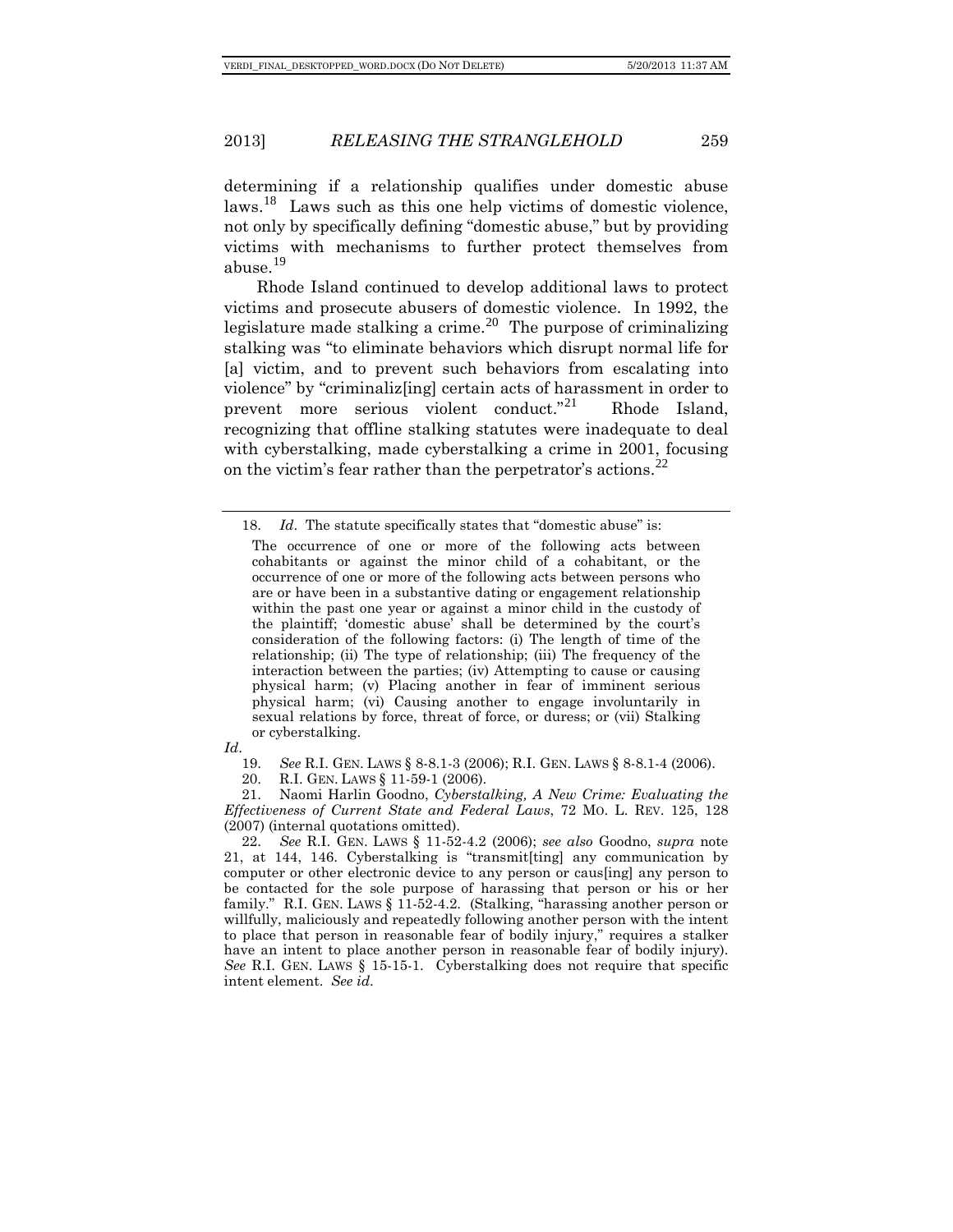determining if a relationship qualifies under domestic abuse laws.[18](#page-5-0) Laws such as this one help victims of domestic violence, not only by specifically defining "domestic abuse," but by providing victims with mechanisms to further protect themselves from abuse.[19](#page-5-1)

Rhode Island continued to develop additional laws to protect victims and prosecute abusers of domestic violence. In 1992, the legislature made stalking a crime.<sup>[20](#page-5-2)</sup> The purpose of criminalizing stalking was "to eliminate behaviors which disrupt normal life for [a] victim, and to prevent such behaviors from escalating into violence" by "criminaliz[ing] certain acts of harassment in order to prevent more serious violent conduct.<sup>"[21](#page-5-3)</sup> Rhode Island, recognizing that offline stalking statutes were inadequate to deal with cyberstalking, made cyberstalking a crime in 2001, focusing on the victim's fear rather than the perpetrator's actions.<sup>[22](#page-5-4)</sup>

<span id="page-5-1"></span>*Id*.

20. R.I. GEN. LAWS § 11-59-1 (2006).<br>21. Naomi Harlin Goodno, Cybersta

<span id="page-5-3"></span><span id="page-5-2"></span>21. Naomi Harlin Goodno, *Cyberstalking, A New Crime: Evaluating the Effectiveness of Current State and Federal Laws*, 72 MO. L. REV. 125, 128 (2007) (internal quotations omitted).

<span id="page-5-4"></span>22. *See* R.I. GEN. LAWS § 11-52-4.2 (2006); *see also* Goodno, *supra* note 21, at 144, 146. Cyberstalking is "transmit[ting] any communication by computer or other electronic device to any person or caus[ing] any person to be contacted for the sole purpose of harassing that person or his or her family." R.I. GEN. LAWS § 11-52-4.2. (Stalking, "harassing another person or willfully, maliciously and repeatedly following another person with the intent to place that person in reasonable fear of bodily injury," requires a stalker have an intent to place another person in reasonable fear of bodily injury). *See* R.I. GEN. LAWS § 15-15-1. Cyberstalking does not require that specific intent element. *See id*.

<span id="page-5-0"></span><sup>18.</sup> *Id.* The statute specifically states that "domestic abuse" is:

The occurrence of one or more of the following acts between cohabitants or against the minor child of a cohabitant, or the occurrence of one or more of the following acts between persons who are or have been in a substantive dating or engagement relationship within the past one year or against a minor child in the custody of the plaintiff; 'domestic abuse' shall be determined by the court's consideration of the following factors: (i) The length of time of the relationship; (ii) The type of relationship; (iii) The frequency of the interaction between the parties; (iv) Attempting to cause or causing physical harm; (v) Placing another in fear of imminent serious physical harm; (vi) Causing another to engage involuntarily in sexual relations by force, threat of force, or duress; or (vii) Stalking or cyberstalking.

<sup>19.</sup> *See* R.I. GEN. LAWS § 8-8.1-3 (2006); R.I. GEN. LAWS § 8-8.1-4 (2006).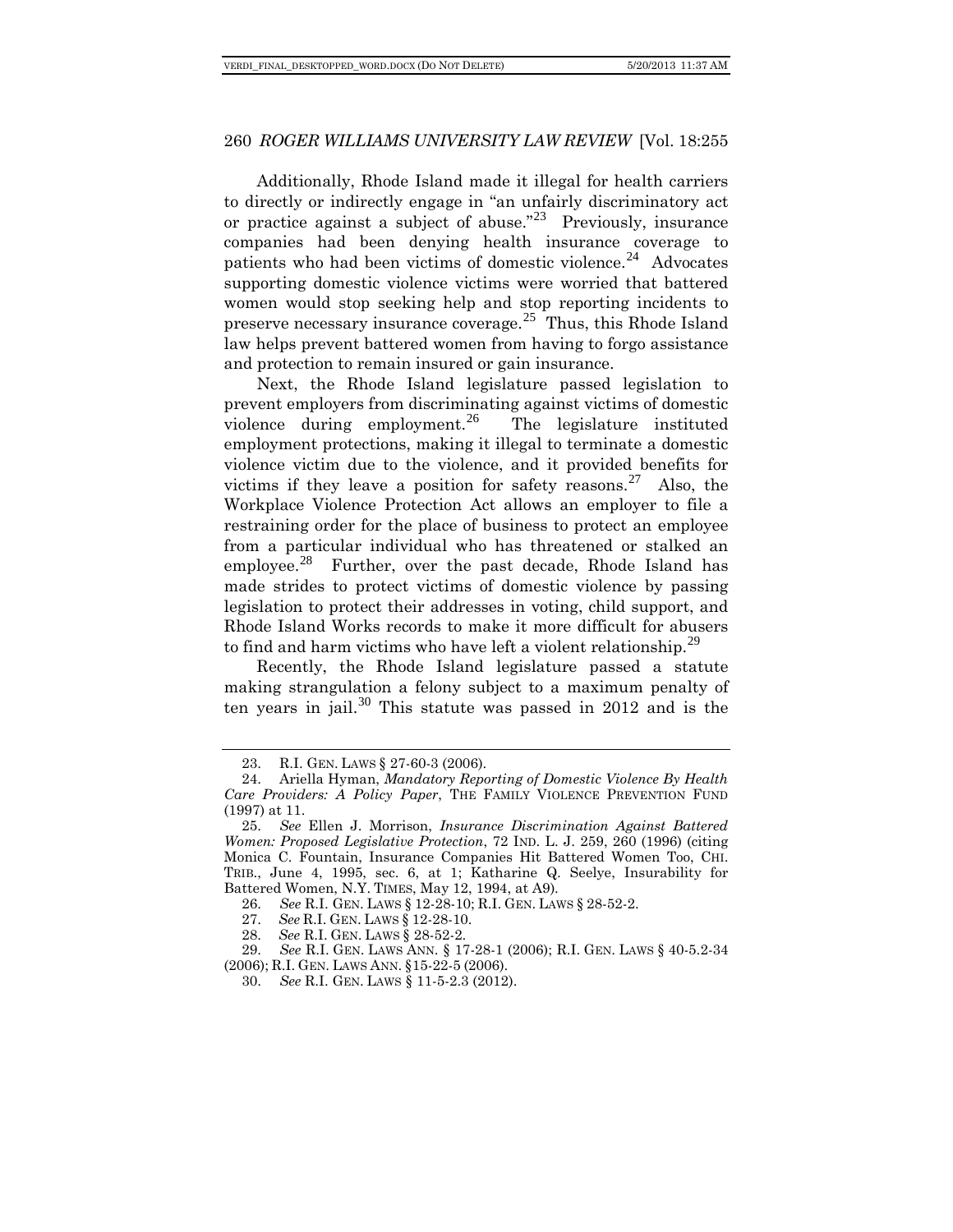Additionally, Rhode Island made it illegal for health carriers to directly or indirectly engage in "an unfairly discriminatory act or practice against a subject of abuse."<sup>[23](#page-6-0)</sup> Previously, insurance companies had been denying health insurance coverage to patients who had been victims of domestic violence.<sup>[24](#page-6-1)</sup> Advocates supporting domestic violence victims were worried that battered women would stop seeking help and stop reporting incidents to preserve necessary insurance coverage.<sup>[25](#page-6-2)</sup> Thus, this Rhode Island law helps prevent battered women from having to forgo assistance and protection to remain insured or gain insurance.

Next, the Rhode Island legislature passed legislation to prevent employers from discriminating against victims of domestic violence during employment.<sup>[26](#page-6-3)</sup> The legislature instituted employment protections, making it illegal to terminate a domestic violence victim due to the violence, and it provided benefits for victims if they leave a position for safety reasons.<sup>[27](#page-6-4)</sup> Also, the Workplace Violence Protection Act allows an employer to file a restraining order for the place of business to protect an employee from a particular individual who has threatened or stalked an employee.<sup>[28](#page-6-5)</sup> Further, over the past decade, Rhode Island has made strides to protect victims of domestic violence by passing legislation to protect their addresses in voting, child support, and Rhode Island Works records to make it more difficult for abusers to find and harm victims who have left a violent relationship.<sup>[29](#page-6-6)</sup>

Recently, the Rhode Island legislature passed a statute making strangulation a felony subject to a maximum penalty of ten years in jail.<sup>[30](#page-6-7)</sup> This statute was passed in  $2012$  and is the

<sup>23.</sup> R.I. GEN. LAWS § 27-60-3 (2006).

<span id="page-6-1"></span><span id="page-6-0"></span><sup>24.</sup> Ariella Hyman, *Mandatory Reporting of Domestic Violence By Health Care Providers: A Policy Paper*, THE FAMILY VIOLENCE PREVENTION FUND (1997) at 11.

<span id="page-6-2"></span><sup>25.</sup> *See* Ellen J. Morrison, *Insurance Discrimination Against Battered Women: Proposed Legislative Protection*, 72 IND. L. J. 259, 260 (1996) (citing Monica C. Fountain, Insurance Companies Hit Battered Women Too, CHI. TRIB., June 4, 1995, sec. 6, at 1; Katharine Q. Seelye, Insurability for Battered Women, N.Y. TIMES, May 12, 1994, at A9).

<sup>26.</sup> *See* R.I. GEN. LAWS § 12-28-10; R.I. GEN. LAWS § 28-52-2.

<sup>27.</sup> *See* R.I. GEN. LAWS § 12-28-10.

<sup>28.</sup> *See* R.I. GEN. LAWS § 28-52-2.

<span id="page-6-7"></span><span id="page-6-6"></span><span id="page-6-5"></span><span id="page-6-4"></span><span id="page-6-3"></span><sup>29.</sup> *See* R.I. GEN. LAWS ANN. § 17-28-1 (2006); R.I. GEN. LAWS § 40-5.2-34 (2006); R.I. GEN. LAWS ANN. §15-22-5 (2006).

<sup>30.</sup> *See* R.I. GEN. LAWS § 11-5-2.3 (2012).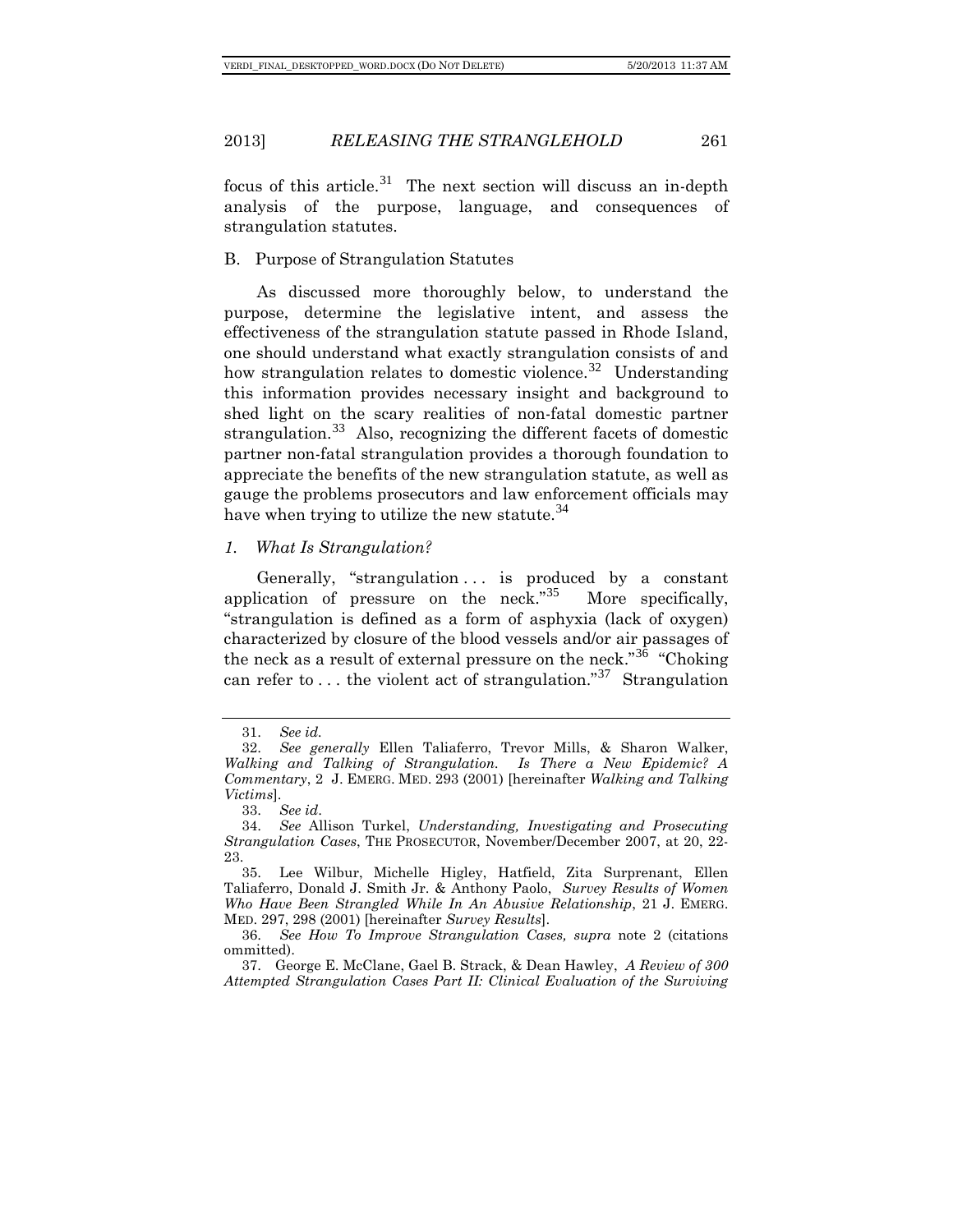focus of this article.<sup>[31](#page-7-0)</sup> The next section will discuss an in-depth analysis of the purpose, language, and consequences of strangulation statutes.

# B. Purpose of Strangulation Statutes

As discussed more thoroughly below, to understand the purpose, determine the legislative intent, and assess the effectiveness of the strangulation statute passed in Rhode Island, one should understand what exactly strangulation consists of and how strangulation relates to domestic violence.<sup>[32](#page-7-1)</sup> Understanding this information provides necessary insight and background to shed light on the scary realities of non-fatal domestic partner strangulation.<sup>[33](#page-7-2)</sup> Also, recognizing the different facets of domestic partner non-fatal strangulation provides a thorough foundation to appreciate the benefits of the new strangulation statute, as well as gauge the problems prosecutors and law enforcement officials may have when trying to utilize the new statute.<sup>[34](#page-7-3)</sup>

# *1. What Is Strangulation?*

Generally, "strangulation . . . is produced by a constant application of pressure on the neck." $35$ More specifically, "strangulation is defined as a form of asphyxia (lack of oxygen) characterized by closure of the blood vessels and/or air passages of the neck as a result of external pressure on the neck."<sup>[36](#page-7-5)</sup> "Choking" can refer to ... the violent act of strangulation."<sup>[37](#page-7-6)</sup> Strangulation

<sup>31.</sup> *See id.*

<span id="page-7-1"></span><span id="page-7-0"></span><sup>32.</sup> *See generally* Ellen Taliaferro, Trevor Mills, & Sharon Walker, *Walking and Talking of Strangulation. Is There a New Epidemic? A Commentary*, 2 J. EMERG. MED. 293 (2001) [hereinafter *Walking and Talking Victims*].

<sup>33.</sup> *See id*.

<span id="page-7-3"></span><span id="page-7-2"></span><sup>34.</sup> *See* Allison Turkel, *Understanding, Investigating and Prosecuting Strangulation Cases*, THE PROSECUTOR, November/December 2007, at 20, 22- 23.

<span id="page-7-4"></span><sup>35.</sup> Lee Wilbur, Michelle Higley, Hatfield, Zita Surprenant, Ellen Taliaferro, Donald J. Smith Jr. & Anthony Paolo, *Survey Results of Women Who Have Been Strangled While In An Abusive Relationship*, 21 J. EMERG. MED. 297, 298 (2001) [hereinafter *Survey Results*].

<span id="page-7-5"></span><sup>36.</sup> *See How To Improve Strangulation Cases, supra* note 2 (citations ommitted).

<span id="page-7-6"></span><sup>37.</sup> George E. McClane, Gael B. Strack, & Dean Hawley, *A Review of 300 Attempted Strangulation Cases Part II: Clinical Evaluation of the Surviving*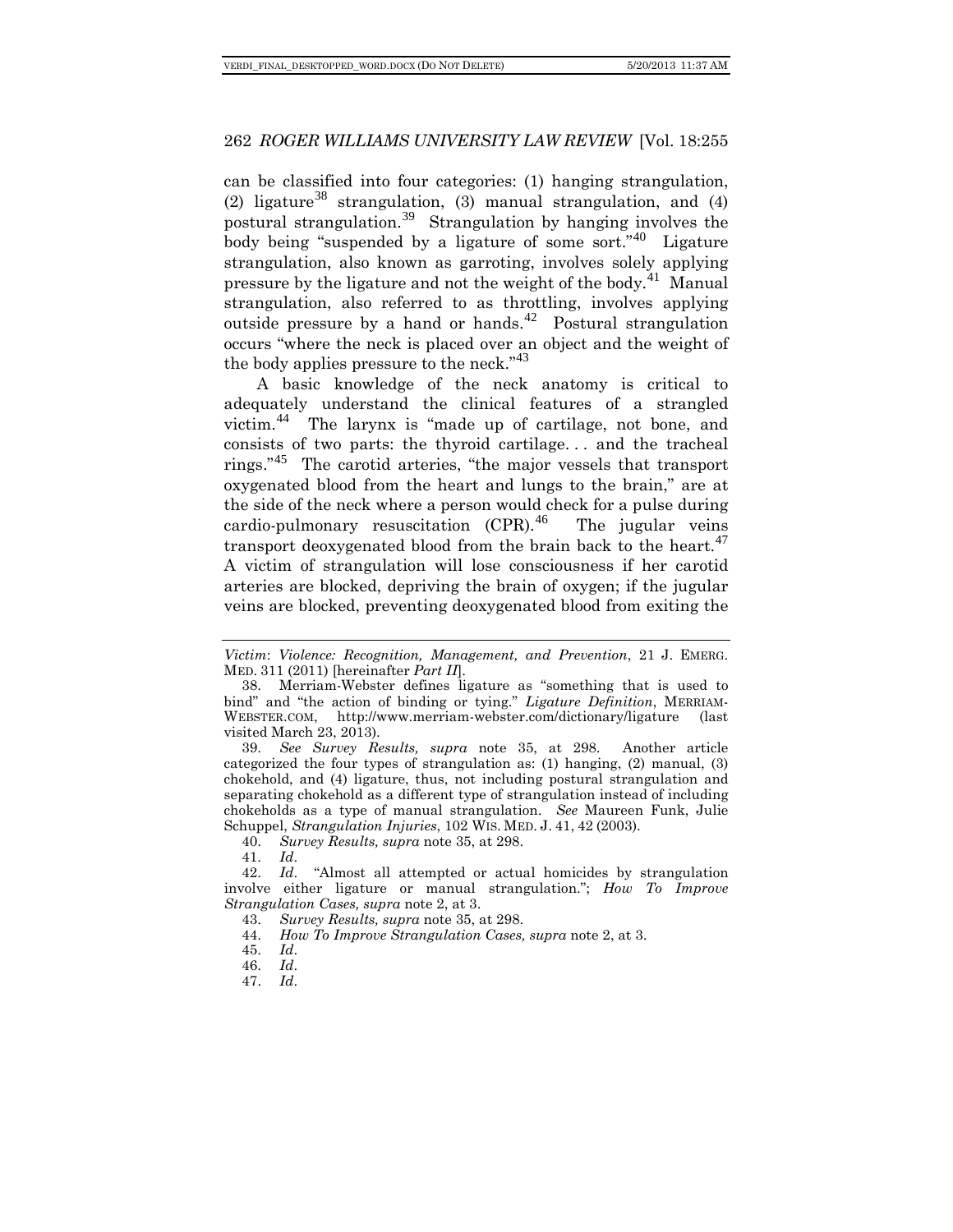can be classified into four categories: (1) hanging strangulation, (2) ligature<sup>[38](#page-8-0)</sup> strangulation, (3) manual strangulation, and (4) postural strangulation.[39](#page-8-1) Strangulation by hanging involves the body being "suspended by a ligature of some sort."[40](#page-8-2) Ligature strangulation, also known as garroting, involves solely applying pressure by the ligature and not the weight of the body.[41](#page-8-3) Manual strangulation, also referred to as throttling, involves applying outside pressure by a hand or hands.<sup>[42](#page-8-4)</sup> Postural strangulation occurs "where the neck is placed over an object and the weight of the body applies pressure to the neck."<sup>[43](#page-8-5)</sup>

A basic knowledge of the neck anatomy is critical to adequately understand the clinical features of a strangled victim.[44](#page-8-6) The larynx is "made up of cartilage, not bone, and consists of two parts: the thyroid cartilage. . . and the tracheal rings." [45](#page-8-7) The carotid arteries, "the major vessels that transport oxygenated blood from the heart and lungs to the brain," are at the side of the neck where a person would check for a pulse during cardio-pulmonary resuscitation  $(CPR).$ <sup>[46](#page-8-8)</sup> The jugular veins transport deoxygenated blood from the brain back to the heart.<sup>[47](#page-8-9)</sup> A victim of strangulation will lose consciousness if her carotid arteries are blocked, depriving the brain of oxygen; if the jugular veins are blocked, preventing deoxygenated blood from exiting the

<span id="page-8-1"></span>39. *See Survey Results, supra* note 35, at 298. Another article categorized the four types of strangulation as: (1) hanging, (2) manual, (3) chokehold, and (4) ligature, thus, not including postural strangulation and separating chokehold as a different type of strangulation instead of including chokeholds as a type of manual strangulation. *See* Maureen Funk, Julie Schuppel, *Strangulation Injuries*, 102 WIS. MED. J. 41, 42 (2003).

40. *Survey Results, supra* note 35, at 298.

41. *Id*.

<span id="page-8-7"></span><span id="page-8-6"></span><span id="page-8-5"></span><span id="page-8-4"></span><span id="page-8-3"></span><span id="page-8-2"></span>42. *Id*. "Almost all attempted or actual homicides by strangulation involve either ligature or manual strangulation."; *How To Improve Strangulation Cases, supra* note 2, at 3.

44. *How To Improve Strangulation Cases, supra* note 2, at 3.

*Victim*: *Violence: Recognition, Management, and Prevention*, 21 J. EMERG. MED. 311 (2011) [hereinafter *Part II*].

<span id="page-8-0"></span><sup>38.</sup> Merriam-Webster defines ligature as "something that is used to bind" and "the action of binding or tying." *Ligature Definition*, MERRIAM-WEBSTER.COM, http://www.merriam-webster.com/dictionary/ligature (last visited March 23, 2013).

<sup>43.</sup> *Survey Results, supra* note 35, at 298.

<sup>45.</sup> *Id*.

<span id="page-8-9"></span><span id="page-8-8"></span><sup>46.</sup> *Id*.

<sup>47.</sup> *Id*.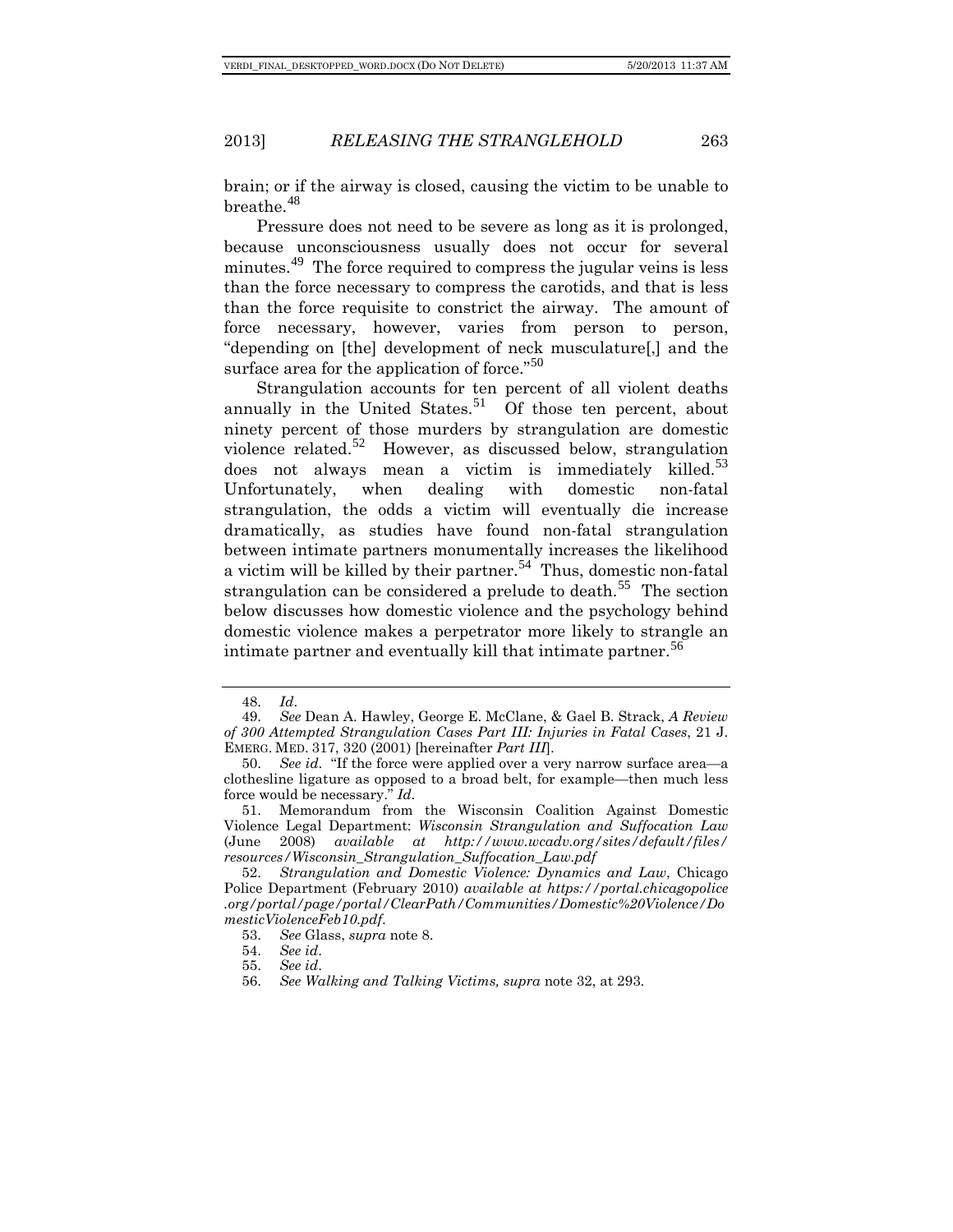brain; or if the airway is closed, causing the victim to be unable to breathe.<sup>[48](#page-9-0)</sup>

Pressure does not need to be severe as long as it is prolonged, because unconsciousness usually does not occur for several minutes.<sup>[49](#page-9-1)</sup> The force required to compress the jugular veins is less than the force necessary to compress the carotids, and that is less than the force requisite to constrict the airway. The amount of force necessary, however, varies from person to person, "depending on [the] development of neck musculature[,] and the surface area for the application of force."<sup>[50](#page-9-2)</sup>

Strangulation accounts for ten percent of all violent deaths annually in the United States.<sup>[51](#page-9-3)</sup> Of those ten percent, about ninety percent of those murders by strangulation are domestic violence related.<sup>[52](#page-9-4)</sup> However, as discussed below, strangulation does not always mean a victim is immediately killed. $53$ Unfortunately, when dealing with domestic non-fatal strangulation, the odds a victim will eventually die increase dramatically, as studies have found non-fatal strangulation between intimate partners monumentally increases the likelihood a victim will be killed by their partner.<sup>[54](#page-9-6)</sup> Thus, domestic non-fatal strangulation can be considered a prelude to death.<sup>[55](#page-9-7)</sup> The section below discusses how domestic violence and the psychology behind domestic violence makes a perpetrator more likely to strangle an intimate partner and eventually kill that intimate partner.<sup>[56](#page-9-8)</sup>

<sup>48.</sup> *Id*.

<span id="page-9-1"></span><span id="page-9-0"></span><sup>49.</sup> *See* Dean A. Hawley, George E. McClane, & Gael B. Strack, *A Review of 300 Attempted Strangulation Cases Part III: Injuries in Fatal Cases*, 21 J. EMERG. MED. 317, 320 (2001) [hereinafter *Part III*].

<span id="page-9-2"></span><sup>50.</sup> *See id*. "If the force were applied over a very narrow surface area—a clothesline ligature as opposed to a broad belt, for example—then much less force would be necessary." *Id*.

<span id="page-9-3"></span><sup>51.</sup> Memorandum from the Wisconsin Coalition Against Domestic Violence Legal Department: *Wisconsin Strangulation and Suffocation Law* (June 2008) *available at http://www.wcadv.org/sites/default/files/ resources/Wisconsin\_Strangulation\_Suffocation\_Law.pdf*

<span id="page-9-6"></span><span id="page-9-5"></span><span id="page-9-4"></span><sup>52.</sup> *Strangulation and Domestic Violence: Dynamics and Law*, Chicago Police Department (February 2010) *available at https://portal.chicagopolice .org/portal/page/portal/ClearPath/Communities/Domestic%20Violence/Do mesticViolenceFeb10.pdf*.

<sup>53.</sup> *See* Glass, *supra* note 8.

<sup>54.</sup> *See id*.

<sup>55.</sup> *See id*.

<span id="page-9-8"></span><span id="page-9-7"></span><sup>56.</sup> *See Walking and Talking Victims, supra* note 32, at 293.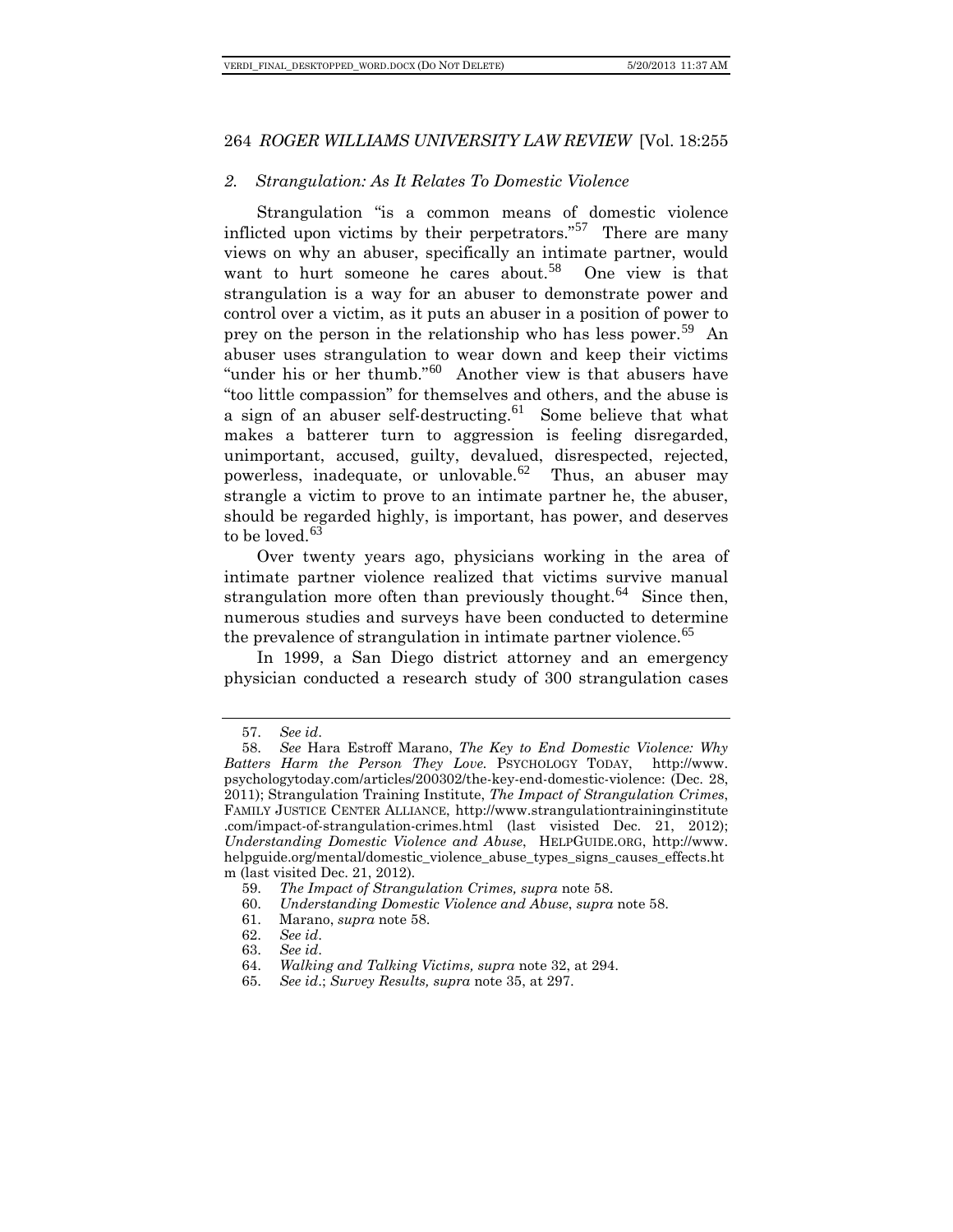# *2. Strangulation: As It Relates To Domestic Violence*

Strangulation "is a common means of domestic violence inflicted upon victims by their perpetrators."<sup>[57](#page-10-0)</sup> There are many views on why an abuser, specifically an intimate partner, would want to hurt someone he cares about.<sup>[58](#page-10-1)</sup> One view is that strangulation is a way for an abuser to demonstrate power and control over a victim, as it puts an abuser in a position of power to prey on the person in the relationship who has less power.<sup>[59](#page-10-2)</sup> An abuser uses strangulation to wear down and keep their victims "under his or her thumb."<sup>[60](#page-10-3)</sup> Another view is that abusers have "too little compassion" for themselves and others, and the abuse is a sign of an abuser self-destructing.<sup>[61](#page-10-4)</sup> Some believe that what makes a batterer turn to aggression is feeling disregarded, unimportant, accused, guilty, devalued, disrespected, rejected, powerless, inadequate, or unlovable.<sup>[62](#page-10-5)</sup> Thus, an abuser may strangle a victim to prove to an intimate partner he, the abuser, should be regarded highly, is important, has power, and deserves to be loved. $63$ 

Over twenty years ago, physicians working in the area of intimate partner violence realized that victims survive manual strangulation more often than previously thought. $^{64}$  $^{64}$  $^{64}$  Since then, numerous studies and surveys have been conducted to determine the prevalence of strangulation in intimate partner violence.<sup>[65](#page-10-8)</sup>

In 1999, a San Diego district attorney and an emergency physician conducted a research study of 300 strangulation cases

<sup>57.</sup> *See id*.

<span id="page-10-1"></span><span id="page-10-0"></span><sup>58.</sup> *See* Hara Estroff Marano, *The Key to End Domestic Violence: Why Batters Harm the Person They Love.* PSYCHOLOGY TODAY, http://www. psychologytoday.com/articles/200302/the-key-end-domestic-violence: (Dec. 28, 2011); Strangulation Training Institute, *The Impact of Strangulation Crimes*, FAMILY JUSTICE CENTER ALLIANCE, [http://www.strangulationtraininginstitute](http://www.strangulationtraininginstitute.com/impact-of-strangulation-crimes.html) [.com/impact-of-strangulation-crimes.html](http://www.strangulationtraininginstitute.com/impact-of-strangulation-crimes.html) (last visisted Dec. 21, 2012); *Understanding Domestic Violence and Abuse*, HELPGUIDE.ORG, [http://www.](http://www.helpguide.org/mental/domestic_violence_abuse_types_signs_causes_effects.htm) [helpguide.org/mental/domestic\\_violence\\_abuse\\_types\\_signs\\_causes\\_effects.ht](http://www.helpguide.org/mental/domestic_violence_abuse_types_signs_causes_effects.htm) [m](http://www.helpguide.org/mental/domestic_violence_abuse_types_signs_causes_effects.htm) (last visited Dec. 21, 2012).

<span id="page-10-2"></span><sup>59.</sup> *The Impact of Strangulation Crimes, supra* note 58.

<span id="page-10-3"></span><sup>60.</sup> *Understanding Domestic Violence and Abuse*, *supra* note 58.

<sup>61.</sup> Marano, *supra* note 58.

<span id="page-10-6"></span><span id="page-10-5"></span><span id="page-10-4"></span><sup>62.</sup> *See id*.

<sup>63.</sup> *See id*.

<span id="page-10-8"></span><span id="page-10-7"></span><sup>64.</sup> *Walking and Talking Victims, supra* note 32, at 294.

<sup>65.</sup> *See id*.; *Survey Results, supra* note 35, at 297.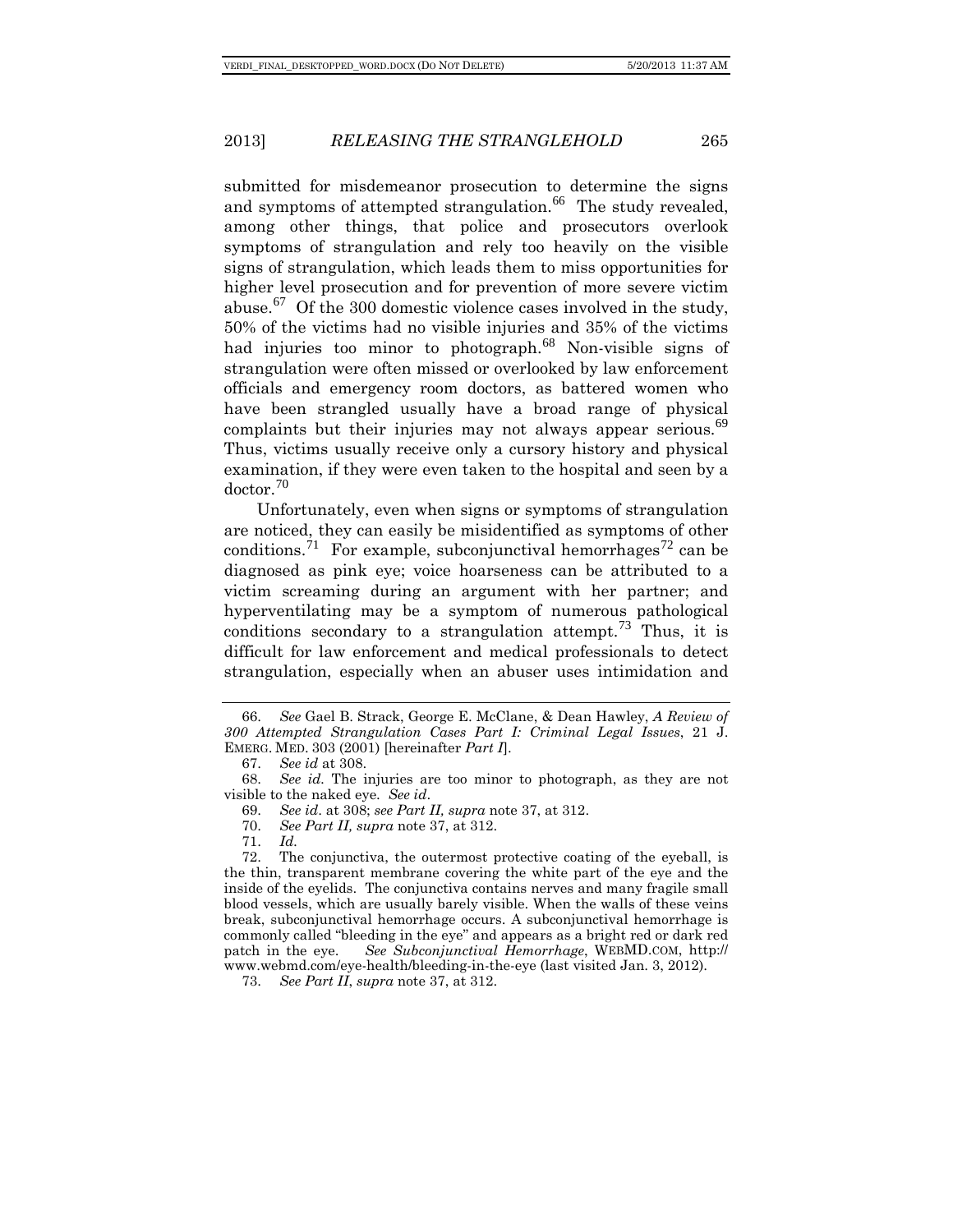submitted for misdemeanor prosecution to determine the signs and symptoms of attempted strangulation.<sup>[66](#page-11-0)</sup> The study revealed, among other things, that police and prosecutors overlook symptoms of strangulation and rely too heavily on the visible signs of strangulation, which leads them to miss opportunities for higher level prosecution and for prevention of more severe victim abuse.<sup>[67](#page-11-1)</sup> Of the 300 domestic violence cases involved in the study, 50% of the victims had no visible injuries and 35% of the victims had injuries too minor to photograph.<sup>[68](#page-11-2)</sup> Non-visible signs of strangulation were often missed or overlooked by law enforcement officials and emergency room doctors, as battered women who have been strangled usually have a broad range of physical complaints but their injuries may not always appear serious. $69$ Thus, victims usually receive only a cursory history and physical examination, if they were even taken to the hospital and seen by a doctor.[70](#page-11-4)

Unfortunately, even when signs or symptoms of strangulation are noticed, they can easily be misidentified as symptoms of other conditions.<sup>[71](#page-11-5)</sup> For example, subconjunctival hemorrhages<sup>[72](#page-11-6)</sup> can be diagnosed as pink eye; voice hoarseness can be attributed to a victim screaming during an argument with her partner; and hyperventilating may be a symptom of numerous pathological conditions secondary to a strangulation attempt.<sup>[73](#page-11-7)</sup> Thus, it is difficult for law enforcement and medical professionals to detect strangulation, especially when an abuser uses intimidation and

71. *Id.* 

<span id="page-11-6"></span><span id="page-11-5"></span><span id="page-11-4"></span>72. The conjunctiva, the outermost protective coating of the eyeball, is the thin, transparent membrane covering the white part of the eye and the inside of the eyelids. The conjunctiva contains nerves and many fragile small blood vessels, which are usually barely visible. When the walls of these veins break, subconjunctival hemorrhage occurs. A subconjunctival hemorrhage is commonly called "bleeding in the eye" and appears as a bright red or dark red patch in the eye. *See Subconjunctival Hemorrhage*, WEBMD.COM, [http://](http://www.webmd.com/eye-health/bleeding-in-the-eye) [www.webmd.com/eye-health/bleeding-in-the-eye](http://www.webmd.com/eye-health/bleeding-in-the-eye) (last visited Jan. 3, 2012).

<span id="page-11-7"></span>73. *See Part II*, *supra* note 37, at 312.

<span id="page-11-0"></span><sup>66.</sup> *See* Gael B. Strack, George E. McClane, & Dean Hawley, *A Review of 300 Attempted Strangulation Cases Part I: Criminal Legal Issues*, 21 J. EMERG. MED. 303 (2001) [hereinafter *Part I*].

<sup>67.</sup> *See id* at 308.

<span id="page-11-3"></span><span id="page-11-2"></span><span id="page-11-1"></span><sup>68.</sup> *See id.* The injuries are too minor to photograph, as they are not visible to the naked eye. *See id*.

<sup>69.</sup> *See id*. at 308; *see Part II, supra* note 37, at 312.

<sup>70.</sup> *See Part II, supra* note 37, at 312.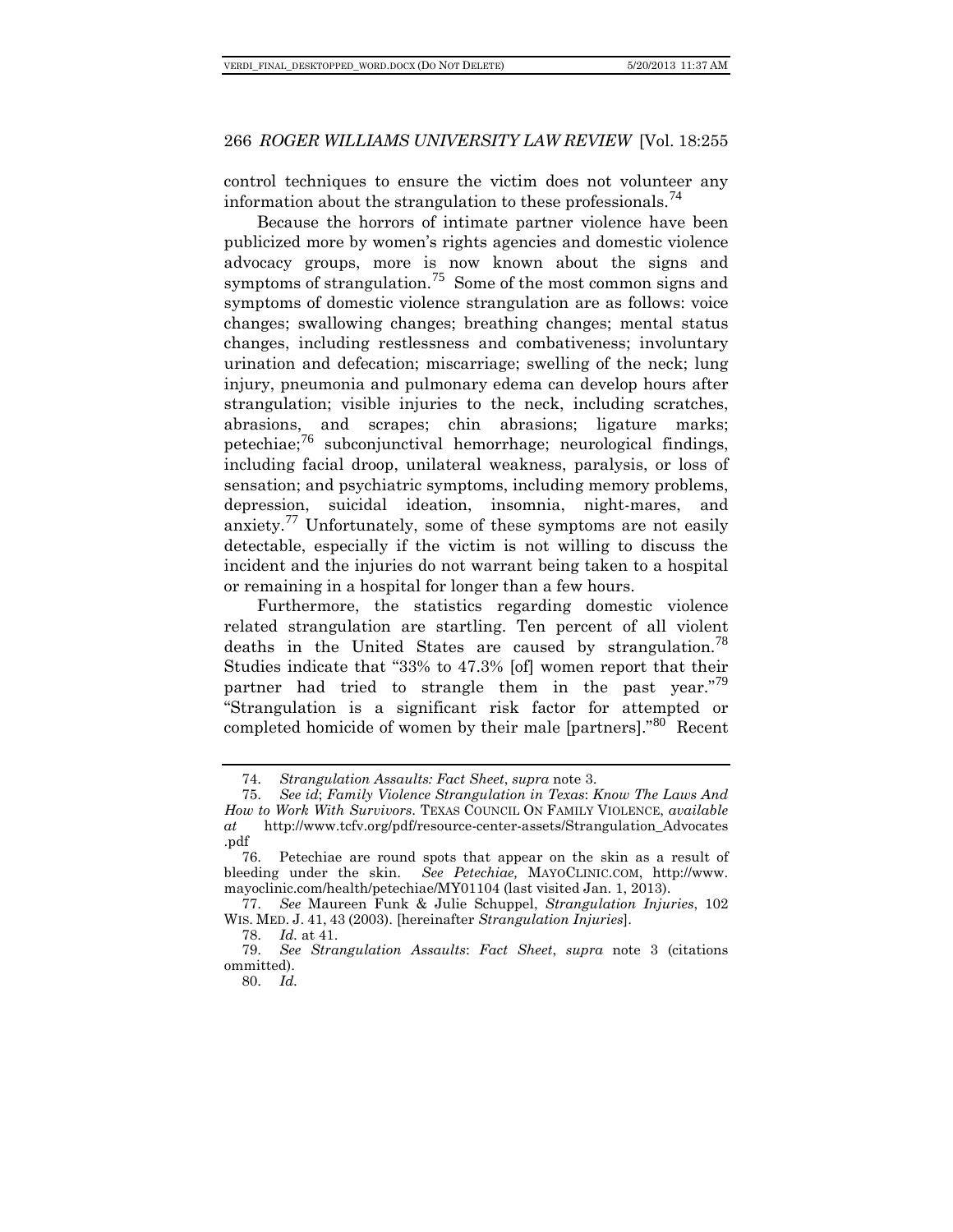control techniques to ensure the victim does not volunteer any information about the strangulation to these professionals.<sup> $4$ </sup>

Because the horrors of intimate partner violence have been publicized more by women's rights agencies and domestic violence advocacy groups, more is now known about the signs and symptoms of strangulation.<sup>[75](#page-12-1)</sup> Some of the most common signs and symptoms of domestic violence strangulation are as follows: voice changes; swallowing changes; breathing changes; mental status changes, including restlessness and combativeness; involuntary urination and defecation; miscarriage; swelling of the neck; lung injury, pneumonia and pulmonary edema can develop hours after strangulation; visible injuries to the neck, including scratches, abrasions, and scrapes; chin abrasions; ligature marks; petechiae;<sup>[76](#page-12-2)</sup> subconjunctival hemorrhage; neurological findings, including facial droop, unilateral weakness, paralysis, or loss of sensation; and psychiatric symptoms, including memory problems, depression, suicidal ideation, insomnia, night-mares, and anxiety.<sup>[77](#page-12-3)</sup> Unfortunately, some of these symptoms are not easily detectable, especially if the victim is not willing to discuss the incident and the injuries do not warrant being taken to a hospital or remaining in a hospital for longer than a few hours.

Furthermore, the statistics regarding domestic violence related strangulation are startling. Ten percent of all violent deaths in the United States are caused by strangulation.<sup>[78](#page-12-4)</sup> Studies indicate that "33% to 47.3% [of] women report that their partner had tried to strangle them in the past year."<sup>[79](#page-12-5)</sup> "Strangulation is a significant risk factor for attempted or completed homicide of women by their male [partners]."<sup>[80](#page-12-6)</sup> Recent

<sup>74.</sup> *Strangulation Assaults: Fact Sheet*, *supra* note 3.

<span id="page-12-1"></span><span id="page-12-0"></span><sup>75.</sup> *See id*; *Family Violence Strangulation in Texas*: *Know The Laws And How to Work With Survivors*. TEXAS COUNCIL ON FAMILY VIOLENCE, *available at* http://www.tcfv.org/pdf/resource-center-assets/Strangulation\_Advocates .pdf

<span id="page-12-2"></span><sup>76.</sup> Petechiae are round spots that appear on the skin as a result of bleeding under the skin. *See Petechiae,* MAYOCLINIC.COM, [http://www.](http://www.mayoclinic.com/health/petechiae/MY01104)  [mayoclinic.com/health/petechiae/MY01104](http://www.mayoclinic.com/health/petechiae/MY01104) (last visited Jan. 1, 2013).

<span id="page-12-3"></span><sup>77.</sup> *See* Maureen Funk & Julie Schuppel, *Strangulation Injuries*, 102 WIS. MED. J. 41, 43 (2003). [hereinafter *Strangulation Injuries*].

<sup>78.</sup> *Id.* at 41.

<span id="page-12-6"></span><span id="page-12-5"></span><span id="page-12-4"></span><sup>79.</sup> *See Strangulation Assaults*: *Fact Sheet*, *supra* note 3 (citations ommitted).

<sup>80.</sup> *Id.*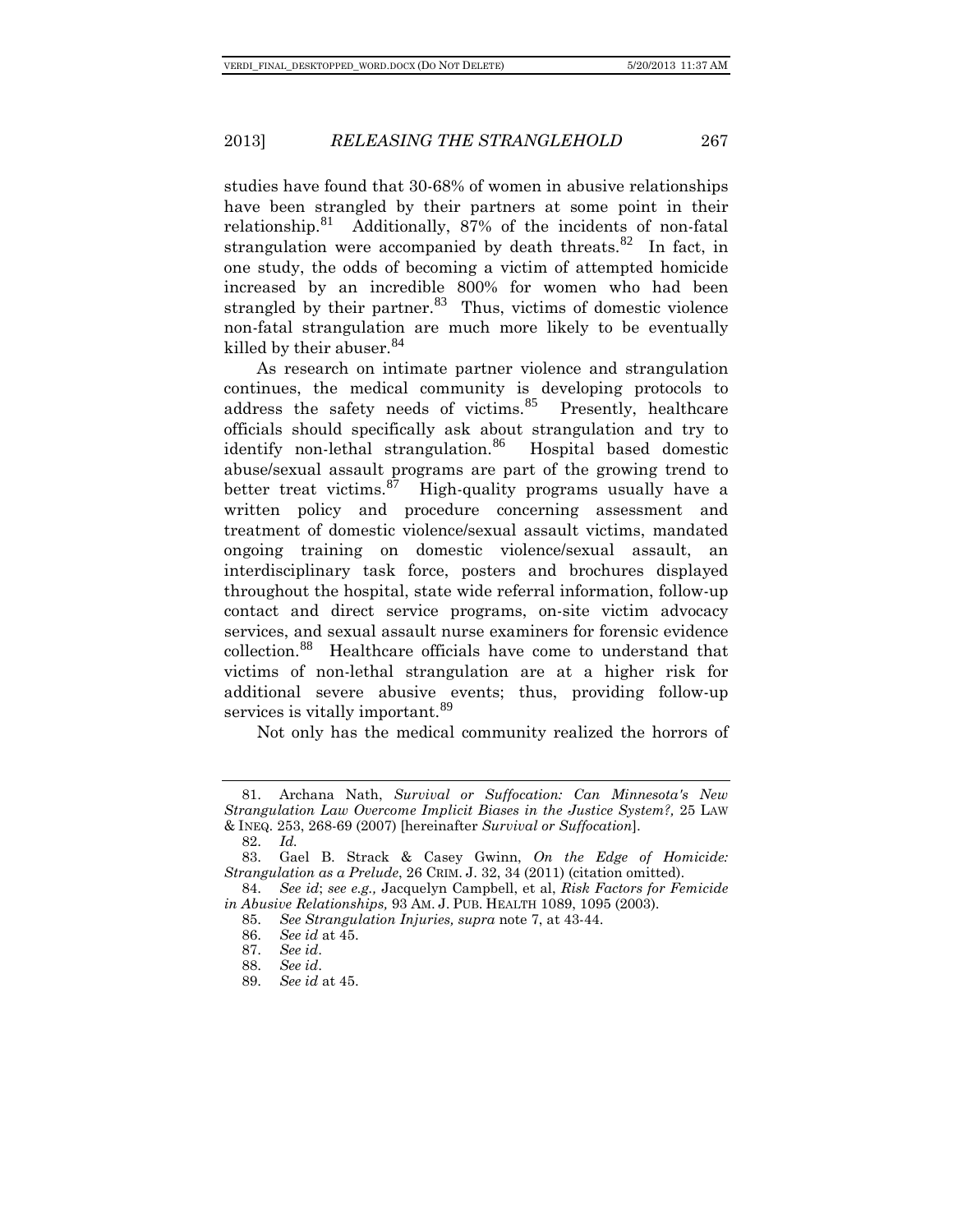studies have found that 30-68% of women in abusive relationships have been strangled by their partners at some point in their relationship.<sup>[81](#page-13-0)</sup> Additionally, 87% of the incidents of non-fatal strangulation were accompanied by death threats. $82$  In fact, in one study, the odds of becoming a victim of attempted homicide increased by an incredible 800% for women who had been strangled by their partner. $83$  Thus, victims of domestic violence non-fatal strangulation are much more likely to be eventually killed by their abuser.<sup>[84](#page-13-3)</sup>

As research on intimate partner violence and strangulation continues, the medical community is developing protocols to address the safety needs of victims.<sup>[85](#page-13-4)</sup> Presently, healthcare officials should specifically ask about strangulation and try to identify non-lethal strangulation.<sup>[86](#page-13-5)</sup> Hospital based domestic abuse/sexual assault programs are part of the growing trend to better treat victims. $87$  High-quality programs usually have a written policy and procedure concerning assessment and treatment of domestic violence/sexual assault victims, mandated ongoing training on domestic violence/sexual assault, an interdisciplinary task force, posters and brochures displayed throughout the hospital, state wide referral information, follow-up contact and direct service programs, on-site victim advocacy services, and sexual assault nurse examiners for forensic evidence collection.[88](#page-13-7) Healthcare officials have come to understand that victims of non-lethal strangulation are at a higher risk for additional severe abusive events; thus, providing follow-up services is vitally important.<sup>[89](#page-13-8)</sup>

Not only has the medical community realized the horrors of

<span id="page-13-0"></span><sup>81.</sup> Archana Nath, *Survival or Suffocation: Can Minnesota's New Strangulation Law Overcome Implicit Biases in the Justice System?,* 25 LAW & INEQ. 253, 268-69 (2007) [hereinafter *Survival or Suffocation*].

<sup>82.</sup> *Id.*

<span id="page-13-2"></span><span id="page-13-1"></span><sup>83.</sup> Gael B. Strack & Casey Gwinn, *On the Edge of Homicide: Strangulation as a Prelude*, 26 CRIM. J. 32, 34 (2011) (citation omitted).

<span id="page-13-7"></span><span id="page-13-6"></span><span id="page-13-5"></span><span id="page-13-4"></span><span id="page-13-3"></span><sup>84.</sup> *See id*; *see e.g.,* Jacquelyn Campbell, et al, *Risk Factors for Femicide in Abusive Relationships,* 93 AM. J. PUB. HEALTH 1089, 1095 (2003).

<sup>85.</sup> *See Strangulation Injuries, supra* note 7, at 43-44.

<sup>86.</sup> *See id* at 45.

<sup>87.</sup> *See id*.

<sup>88.</sup> *See id*.

<span id="page-13-8"></span><sup>89.</sup> *See id* at 45.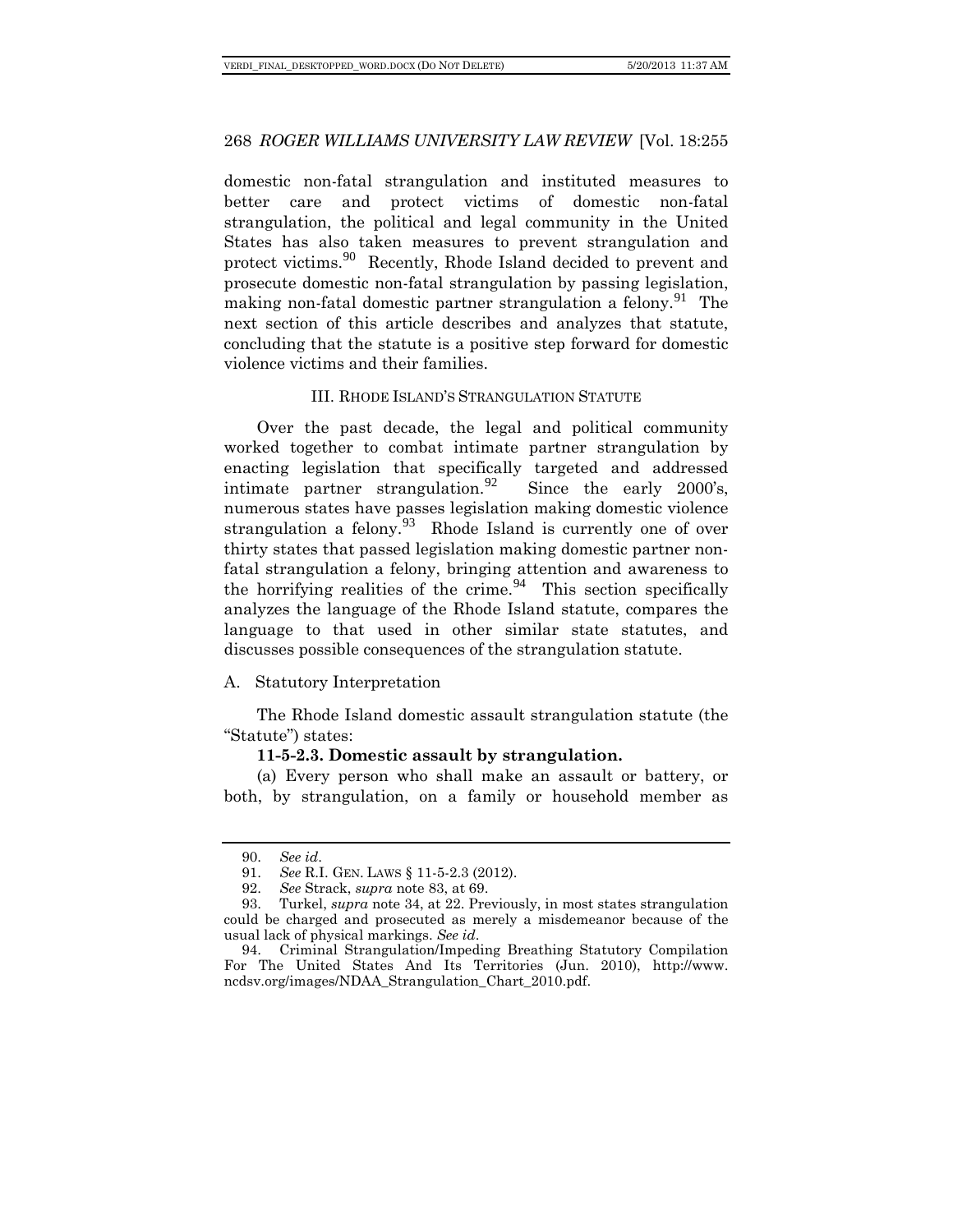domestic non-fatal strangulation and instituted measures to better care and protect victims of domestic non-fatal strangulation, the political and legal community in the United States has also taken measures to prevent strangulation and protect victims.[90](#page-14-0) Recently, Rhode Island decided to prevent and prosecute domestic non-fatal strangulation by passing legislation, making non-fatal domestic partner strangulation a felony.<sup>[91](#page-14-1)</sup> The next section of this article describes and analyzes that statute, concluding that the statute is a positive step forward for domestic violence victims and their families.

# III. RHODE ISLAND'S STRANGULATION STATUTE

Over the past decade, the legal and political community worked together to combat intimate partner strangulation by enacting legislation that specifically targeted and addressed intimate partner strangulation.<sup>[92](#page-14-2)</sup> Since the early 2000's, numerous states have passes legislation making domestic violence strangulation a felony.  $93$  Rhode Island is currently one of over thirty states that passed legislation making domestic partner nonfatal strangulation a felony, bringing attention and awareness to the horrifying realities of the crime.  $94$  This section specifically analyzes the language of the Rhode Island statute, compares the language to that used in other similar state statutes, and discusses possible consequences of the strangulation statute.

# A. Statutory Interpretation

The Rhode Island domestic assault strangulation statute (the "Statute") states:

#### **11-5-2.3. Domestic assault by strangulation.**

(a) Every person who shall make an assault or battery, or both, by strangulation, on a family or household member as

<sup>90.</sup> *See id*.

<sup>91.</sup> *See* R.I. GEN. LAWS § 11-5-2.3 (2012).

<sup>92.</sup> *See* Strack, *supra* note 83, at 69.

<span id="page-14-3"></span><span id="page-14-2"></span><span id="page-14-1"></span><span id="page-14-0"></span><sup>93.</sup> Turkel, *supra* note 34, at 22. Previously, in most states strangulation could be charged and prosecuted as merely a misdemeanor because of the usual lack of physical markings. *See id*.

<span id="page-14-4"></span><sup>94.</sup> Criminal Strangulation/Impeding Breathing Statutory Compilation For The United States And Its Territories (Jun. 2010), http://www. ncdsv.org/images/NDAA\_Strangulation\_Chart\_2010.pdf.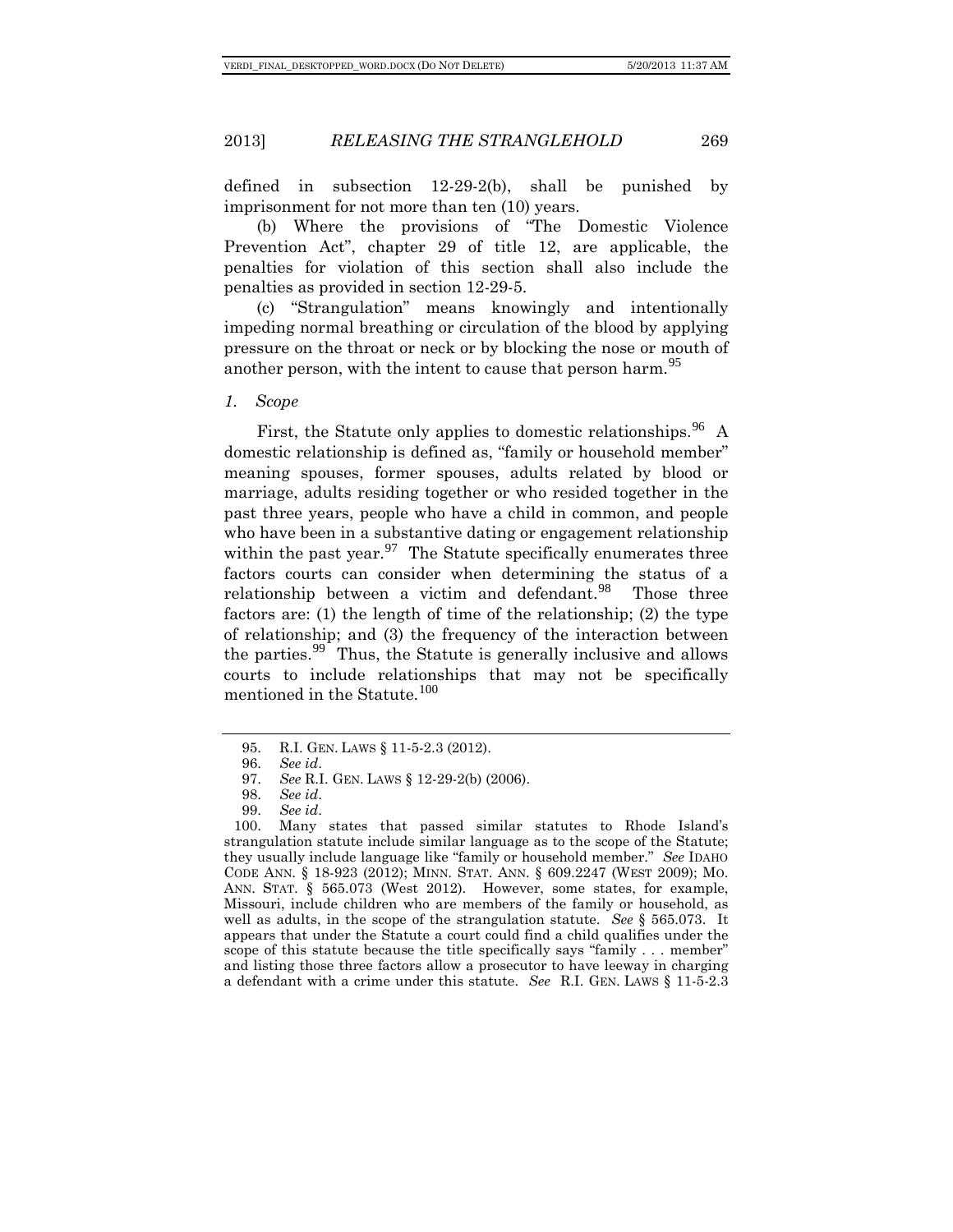defined in subsection 12-29-2(b), shall be punished by imprisonment for not more than ten (10) years.

(b) Where the provisions of "The Domestic Violence Prevention Act", chapter 29 of title 12, are applicable, the penalties for violation of this section shall also include the penalties as provided in section 12-29-5.

(c) "Strangulation" means knowingly and intentionally impeding normal breathing or circulation of the blood by applying pressure on the throat or neck or by blocking the nose or mouth of another person, with the intent to cause that person harm.<sup>[95](#page-15-0)</sup>

#### *1. Scope*

First, the Statute only applies to domestic relationships.  $96\text{ A}$  $96\text{ A}$ domestic relationship is defined as, "family or household member" meaning spouses, former spouses, adults related by blood or marriage, adults residing together or who resided together in the past three years, people who have a child in common, and people who have been in a substantive dating or engagement relationship within the past year.<sup>[97](#page-15-2)</sup> The Statute specifically enumerates three factors courts can consider when determining the status of a relationship between a victim and defendant. $98$  Those three factors are: (1) the length of time of the relationship; (2) the type of relationship; and (3) the frequency of the interaction between the parties.<sup>[99](#page-15-4)</sup> Thus, the Statute is generally inclusive and allows courts to include relationships that may not be specifically mentioned in the Statute.<sup>[100](#page-15-5)</sup>

<sup>95.</sup> R.I. GEN. LAWS § 11-5-2.3 (2012).

<sup>96.</sup> *See id*.

<sup>97.</sup> *See* R.I. GEN. LAWS § 12-29-2(b) (2006).

<sup>98.</sup> *See id*.

<sup>99.</sup> *See id*.

<span id="page-15-5"></span><span id="page-15-4"></span><span id="page-15-3"></span><span id="page-15-2"></span><span id="page-15-1"></span><span id="page-15-0"></span><sup>100.</sup> Many states that passed similar statutes to Rhode Island's strangulation statute include similar language as to the scope of the Statute; they usually include language like "family or household member." *See* IDAHO CODE ANN. § 18-923 (2012); MINN. STAT. ANN. § 609.2247 (WEST 2009); MO. ANN. STAT. § 565.073 (West 2012). However, some states, for example, Missouri, include children who are members of the family or household, as well as adults, in the scope of the strangulation statute. *See* § 565.073. It appears that under the Statute a court could find a child qualifies under the scope of this statute because the title specifically says "family . . . member" and listing those three factors allow a prosecutor to have leeway in charging a defendant with a crime under this statute. *See* R.I. GEN. LAWS § 11-5-2.3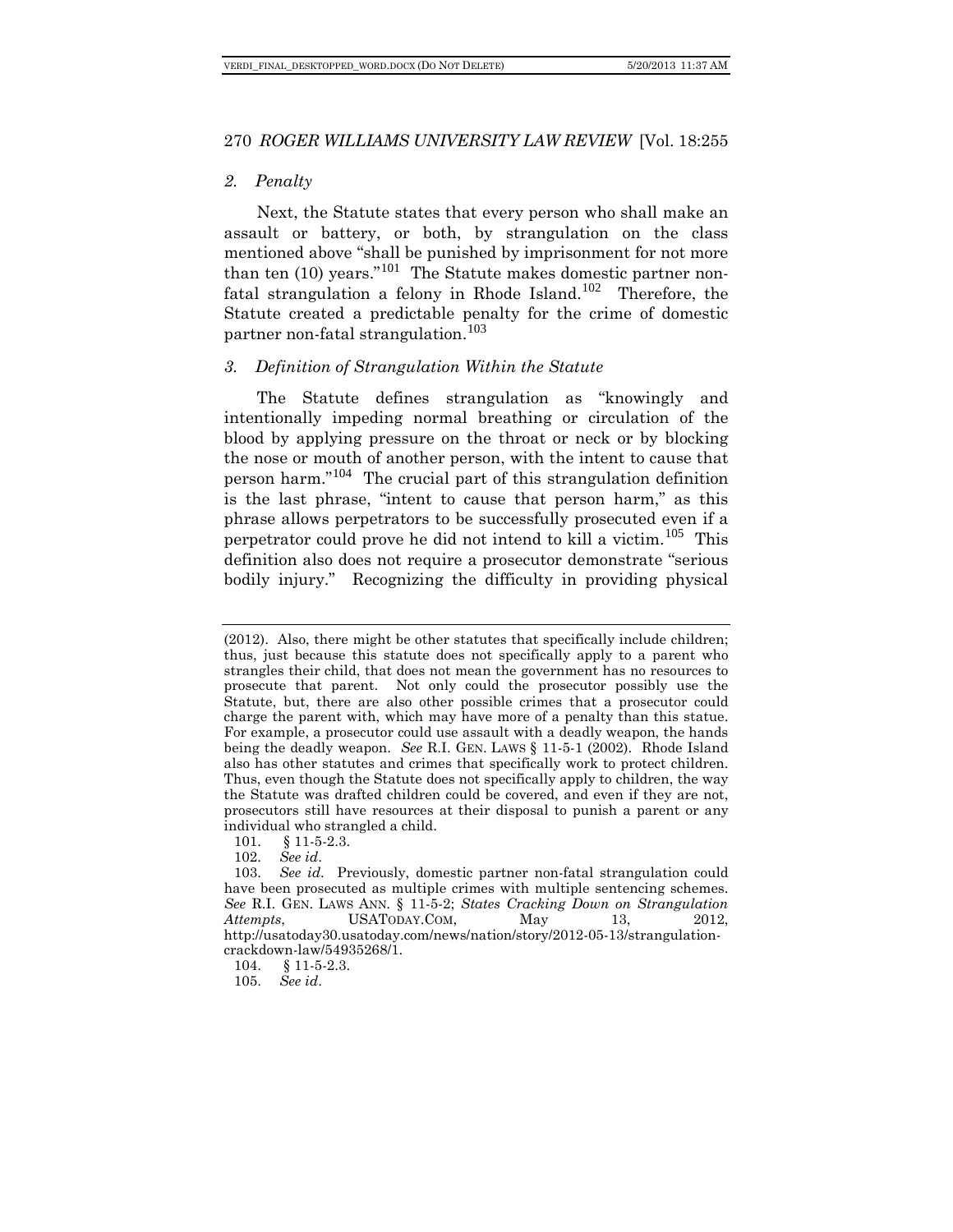# *2. Penalty*

Next, the Statute states that every person who shall make an assault or battery, or both, by strangulation on the class mentioned above "shall be punished by imprisonment for not more than ten (10) years."<sup>[101](#page-16-0)</sup> The Statute makes domestic partner non-fatal strangulation a felony in Rhode Island.<sup>[102](#page-16-1)</sup> Therefore, the Statute created a predictable penalty for the crime of domestic partner non-fatal strangulation.<sup>[103](#page-16-2)</sup>

# *3. Definition of Strangulation Within the Statute*

The Statute defines strangulation as "knowingly and intentionally impeding normal breathing or circulation of the blood by applying pressure on the throat or neck or by blocking the nose or mouth of another person, with the intent to cause that person harm." [104](#page-16-3) The crucial part of this strangulation definition is the last phrase, "intent to cause that person harm," as this phrase allows perpetrators to be successfully prosecuted even if a perpetrator could prove he did not intend to kill a victim.[105](#page-16-4) This definition also does not require a prosecutor demonstrate "serious bodily injury." Recognizing the difficulty in providing physical

<sup>(2012).</sup> Also, there might be other statutes that specifically include children; thus, just because this statute does not specifically apply to a parent who strangles their child, that does not mean the government has no resources to prosecute that parent. Not only could the prosecutor possibly use the Statute, but, there are also other possible crimes that a prosecutor could charge the parent with, which may have more of a penalty than this statue. For example, a prosecutor could use assault with a deadly weapon, the hands being the deadly weapon. *See* R.I. GEN. LAWS § 11-5-1 (2002). Rhode Island also has other statutes and crimes that specifically work to protect children. Thus, even though the Statute does not specifically apply to children, the way the Statute was drafted children could be covered, and even if they are not, prosecutors still have resources at their disposal to punish a parent or any individual who strangled a child.

<sup>101. § 11-5-2.3.</sup>

<sup>102.</sup> *See id*.

<span id="page-16-2"></span><span id="page-16-1"></span><span id="page-16-0"></span>See id. Previously, domestic partner non-fatal strangulation could have been prosecuted as multiple crimes with multiple sentencing schemes. *See* R.I. GEN. LAWS ANN. § 11-5-2; *States Cracking Down on Strangulation Attempts*, USATODAY.COM, May 13, 2012, [http://usatoday30.usatoday.com/news/nation/story/2012-05-13/strangulation](http://usatoday30.usatoday.com/news/nation/story/2012-05-13/strangulation-crackdown-law/54935268/1)[crackdown-law/54935268/1.](http://usatoday30.usatoday.com/news/nation/story/2012-05-13/strangulation-crackdown-law/54935268/1)

<span id="page-16-4"></span><span id="page-16-3"></span><sup>104. § 11-5-2.3.</sup>

<sup>105.</sup> *See id*.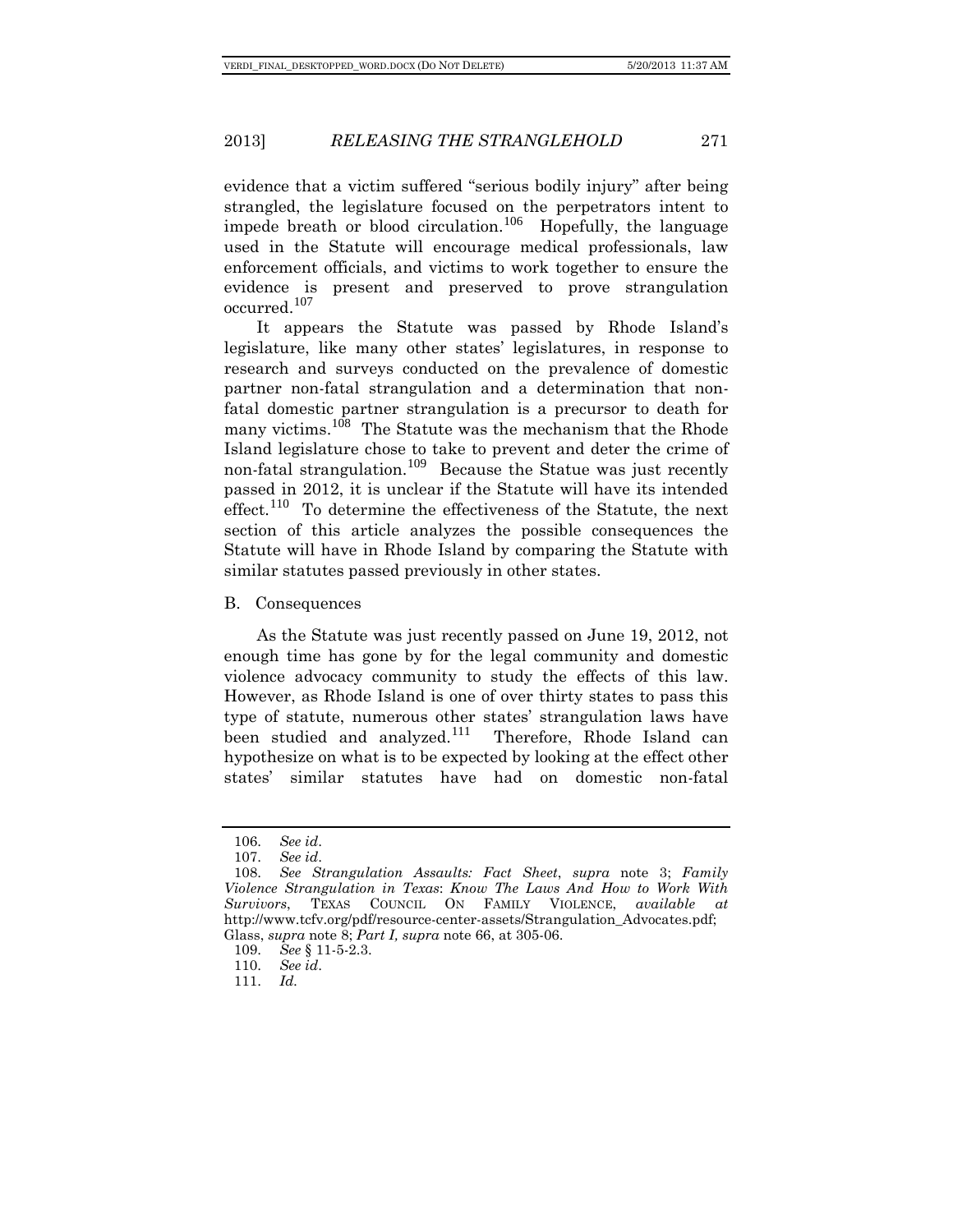evidence that a victim suffered "serious bodily injury" after being strangled, the legislature focused on the perpetrators intent to impede breath or blood circulation.<sup>[106](#page-17-0)</sup> Hopefully, the language used in the Statute will encourage medical professionals, law enforcement officials, and victims to work together to ensure the evidence is present and preserved to prove strangulation occurred.[107](#page-17-1)

It appears the Statute was passed by Rhode Island's legislature, like many other states' legislatures, in response to research and surveys conducted on the prevalence of domestic partner non-fatal strangulation and a determination that nonfatal domestic partner strangulation is a precursor to death for many victims.<sup>[108](#page-17-2)</sup> The Statute was the mechanism that the Rhode Island legislature chose to take to prevent and deter the crime of non-fatal strangulation.<sup>[109](#page-17-3)</sup> Because the Statue was just recently passed in 2012, it is unclear if the Statute will have its intended effect.<sup>[110](#page-17-4)</sup> To determine the effectiveness of the Statute, the next section of this article analyzes the possible consequences the Statute will have in Rhode Island by comparing the Statute with similar statutes passed previously in other states.

B. Consequences

As the Statute was just recently passed on June 19, 2012, not enough time has gone by for the legal community and domestic violence advocacy community to study the effects of this law. However, as Rhode Island is one of over thirty states to pass this type of statute, numerous other states' strangulation laws have been studied and analyzed.<sup>[111](#page-17-5)</sup> Therefore, Rhode Island can hypothesize on what is to be expected by looking at the effect other states' similar statutes have had on domestic non-fatal

<sup>106.</sup> *See id*.

<sup>107.</sup> *See id*.

<span id="page-17-2"></span><span id="page-17-1"></span><span id="page-17-0"></span><sup>108.</sup> *See Strangulation Assaults: Fact Sheet*, *supra* note 3; *Family Violence Strangulation in Texas*: *Know The Laws And How to Work With Survivors*, TEXAS COUNCIL ON FAMILY VIOLENCE, *available at*  http://www.tcfv.org/pdf/resource-center-assets/Strangulation\_Advocates.pdf; Glass, *supra* note 8; *Part I, supra* note 66, at 305-06.

<span id="page-17-3"></span><sup>109.</sup> *See* § 11-5-2.3.

<span id="page-17-4"></span><sup>110.</sup> *See id*.

<span id="page-17-5"></span><sup>111.</sup> *Id.*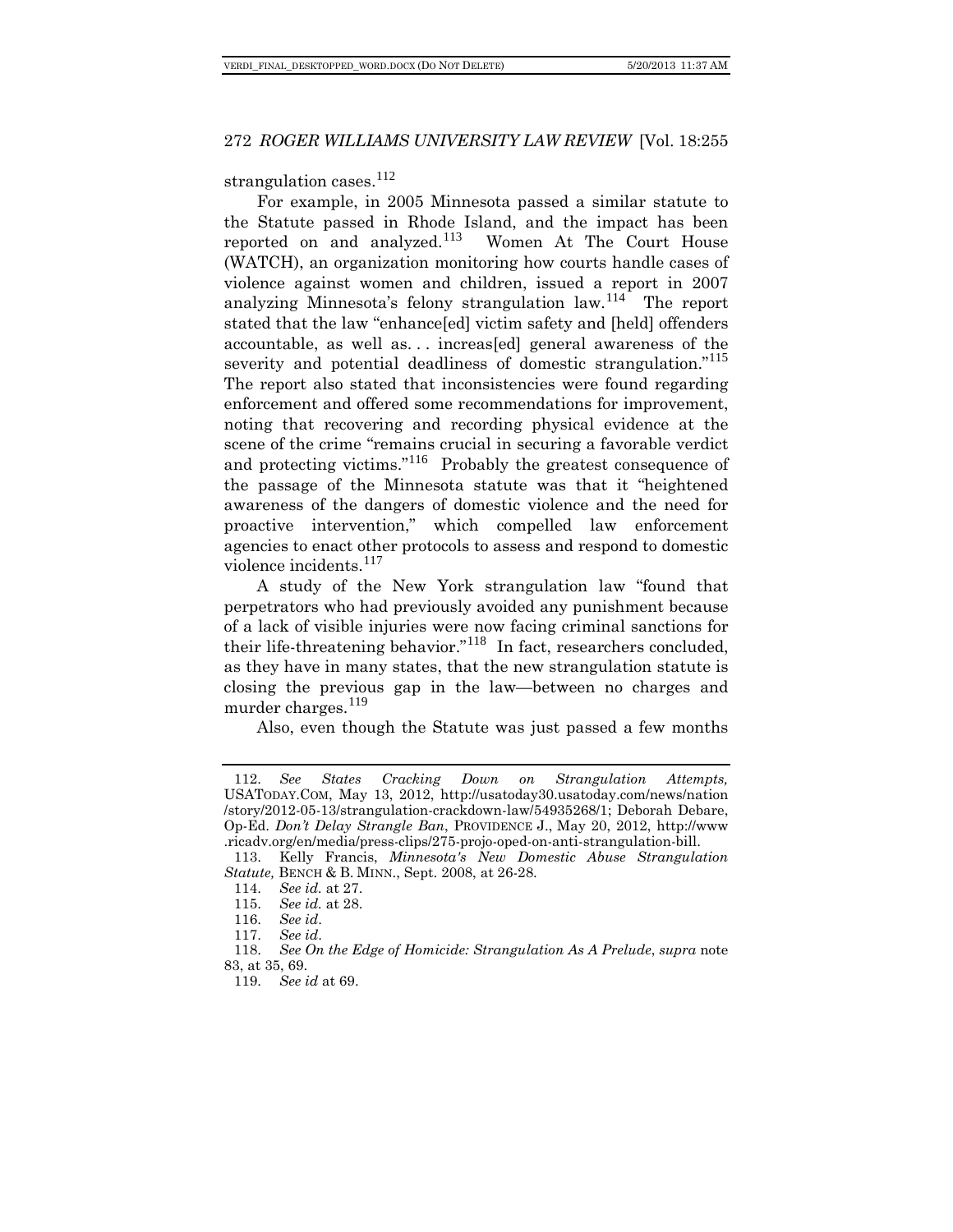strangulation cases.<sup>[112](#page-18-0)</sup>

For example, in 2005 Minnesota passed a similar statute to the Statute passed in Rhode Island, and the impact has been reported on and analyzed.[113](#page-18-1) Women At The Court House (WATCH), an organization monitoring how courts handle cases of violence against women and children, issued a report in 2007 analyzing Minnesota's felony strangulation law.[114](#page-18-2) The report stated that the law "enhance[ed] victim safety and [held] offenders accountable, as well as... increas [ed] general awareness of the severity and potential deadliness of domestic strangulation."<sup>[115](#page-18-3)</sup> The report also stated that inconsistencies were found regarding enforcement and offered some recommendations for improvement, noting that recovering and recording physical evidence at the scene of the crime "remains crucial in securing a favorable verdict and protecting victims."<sup>[116](#page-18-4)</sup> Probably the greatest consequence of the passage of the Minnesota statute was that it "heightened awareness of the dangers of domestic violence and the need for proactive intervention," which compelled law enforcement agencies to enact other protocols to assess and respond to domestic violence incidents.<sup>[117](#page-18-5)</sup>

A study of the New York strangulation law "found that perpetrators who had previously avoided any punishment because of a lack of visible injuries were now facing criminal sanctions for their life-threatening behavior."<sup>[118](#page-18-6)</sup> In fact, researchers concluded, as they have in many states, that the new strangulation statute is closing the previous gap in the law—between no charges and murder charges.<sup>[119](#page-18-7)</sup>

Also, even though the Statute was just passed a few months

<span id="page-18-0"></span><sup>112.</sup> *See States Cracking Down on Strangulation Attempts,* USATODAY.COM, May 13, 2012, [http://usatoday30.usatoday.com/news/nation](http://usatoday30.usatoday.com/news/nation/story/2012-05-13/strangulation-crackdown-law/54935268/1) [/story/2012-05-13/strangulation-crackdown-law/54935268/1;](http://usatoday30.usatoday.com/news/nation/story/2012-05-13/strangulation-crackdown-law/54935268/1) Deborah Debare, Op-Ed. *Don't Delay Strangle Ban*, PROVIDENCE J., May 20, 2012, http://www .ricadv.org/en/media/press-clips/275-projo-oped-on-anti-strangulation-bill.

<span id="page-18-2"></span><span id="page-18-1"></span><sup>113.</sup> Kelly Francis, *Minnesota's New Domestic Abuse Strangulation Statute,* BENCH & B. MINN., Sept. 2008, at 26-28.<br>114. *See id.* at 27.

See *id.* at 27.

<sup>115.</sup> *See id.* at 28.

<sup>116.</sup> *See id*.

<sup>117.</sup> *See id*.

<span id="page-18-7"></span><span id="page-18-6"></span><span id="page-18-5"></span><span id="page-18-4"></span><span id="page-18-3"></span><sup>118.</sup> *See On the Edge of Homicide: Strangulation As A Prelude*, *supra* note 83, at 35, 69.

<sup>119.</sup> *See id* at 69.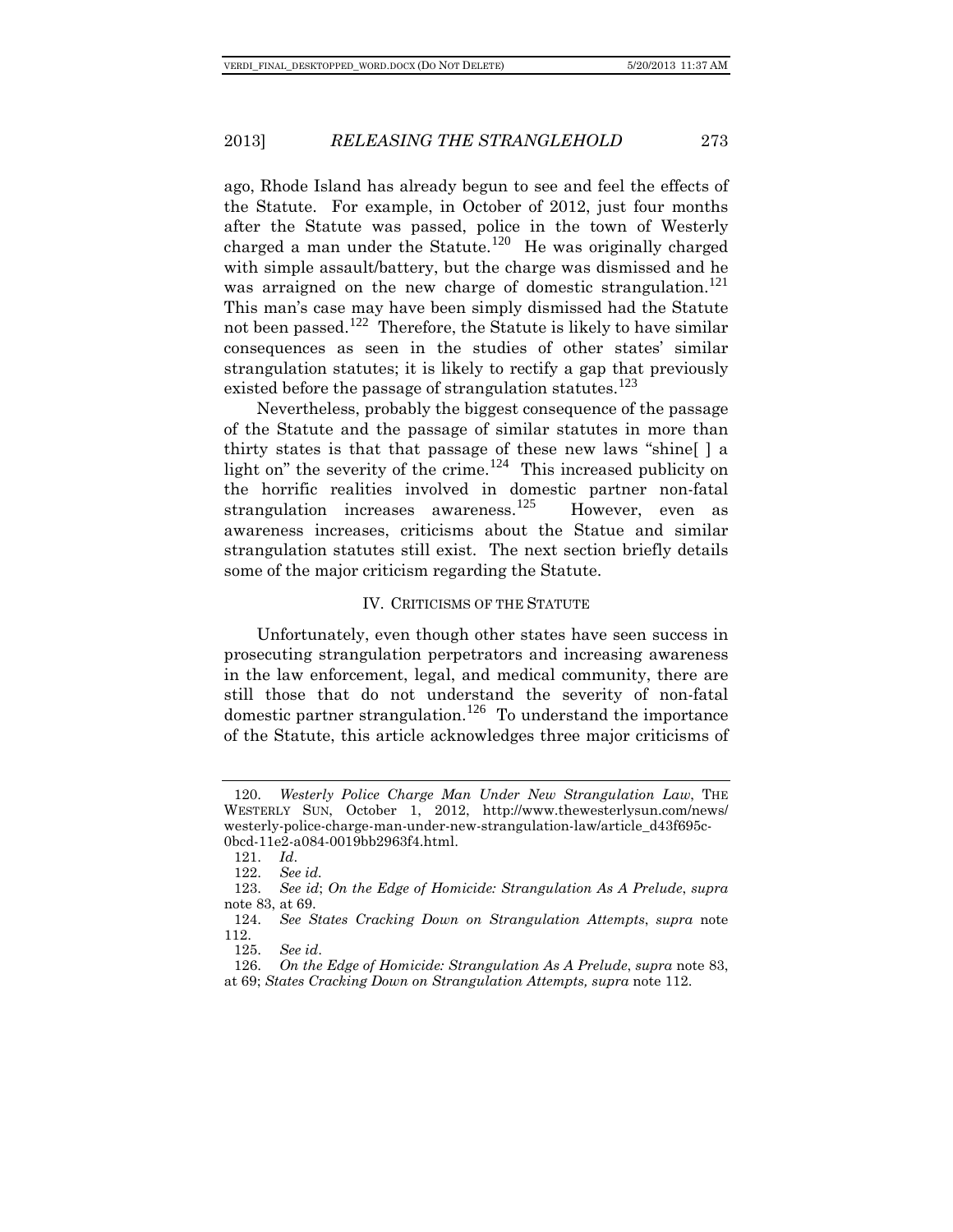ago, Rhode Island has already begun to see and feel the effects of the Statute. For example, in October of 2012, just four months after the Statute was passed, police in the town of Westerly charged a man under the Statute.<sup>[120](#page-19-0)</sup> He was originally charged with simple assault/battery, but the charge was dismissed and he was arraigned on the new charge of domestic strangulation.<sup>[121](#page-19-1)</sup> This man's case may have been simply dismissed had the Statute not been passed.<sup>[122](#page-19-2)</sup> Therefore, the Statute is likely to have similar consequences as seen in the studies of other states' similar strangulation statutes; it is likely to rectify a gap that previously existed before the passage of strangulation statutes.<sup>[123](#page-19-3)</sup>

Nevertheless, probably the biggest consequence of the passage of the Statute and the passage of similar statutes in more than thirty states is that that passage of these new laws "shine[ ] a light on" the severity of the crime.<sup>[124](#page-19-4)</sup> This increased publicity on the horrific realities involved in domestic partner non-fatal strangulation increases awareness.<sup>[125](#page-19-5)</sup> However, even as awareness increases, criticisms about the Statue and similar strangulation statutes still exist. The next section briefly details some of the major criticism regarding the Statute.

#### IV. CRITICISMS OF THE STATUTE

Unfortunately, even though other states have seen success in prosecuting strangulation perpetrators and increasing awareness in the law enforcement, legal, and medical community, there are still those that do not understand the severity of non-fatal domestic partner strangulation.<sup>[126](#page-19-6)</sup> To understand the importance of the Statute, this article acknowledges three major criticisms of

<span id="page-19-0"></span><sup>120.</sup> *Westerly Police Charge Man Under New Strangulation Law*, THE WESTERLY SUN, October 1, 2012, [http://www.thewesterlysun.com/news/](http://www.thewesterlysun.com/news/westerly-police-charge-man-under-new-strangulation-law/article_d43f695c-0bcd-11e2-a084-0019bb2963f4.html) [westerly-police-charge-man-under-new-strangulation-law/article\\_d43f695c-](http://www.thewesterlysun.com/news/westerly-police-charge-man-under-new-strangulation-law/article_d43f695c-0bcd-11e2-a084-0019bb2963f4.html)[0bcd-11e2-a084-0019bb2963f4.html.](http://www.thewesterlysun.com/news/westerly-police-charge-man-under-new-strangulation-law/article_d43f695c-0bcd-11e2-a084-0019bb2963f4.html)

<sup>121.</sup> *Id*.

<sup>122.</sup> *See id.*

<span id="page-19-3"></span><span id="page-19-2"></span><span id="page-19-1"></span><sup>123.</sup> *See id*; *On the Edge of Homicide: Strangulation As A Prelude*, *supra*  note 83, at 69.

<span id="page-19-4"></span><sup>124.</sup> *See States Cracking Down on Strangulation Attempts*, *supra* note 112.

<sup>125.</sup> *See id*.

<span id="page-19-6"></span><span id="page-19-5"></span><sup>126.</sup> *On the Edge of Homicide: Strangulation As A Prelude*, *supra* note 83, at 69; *States Cracking Down on Strangulation Attempts, supra* note 112.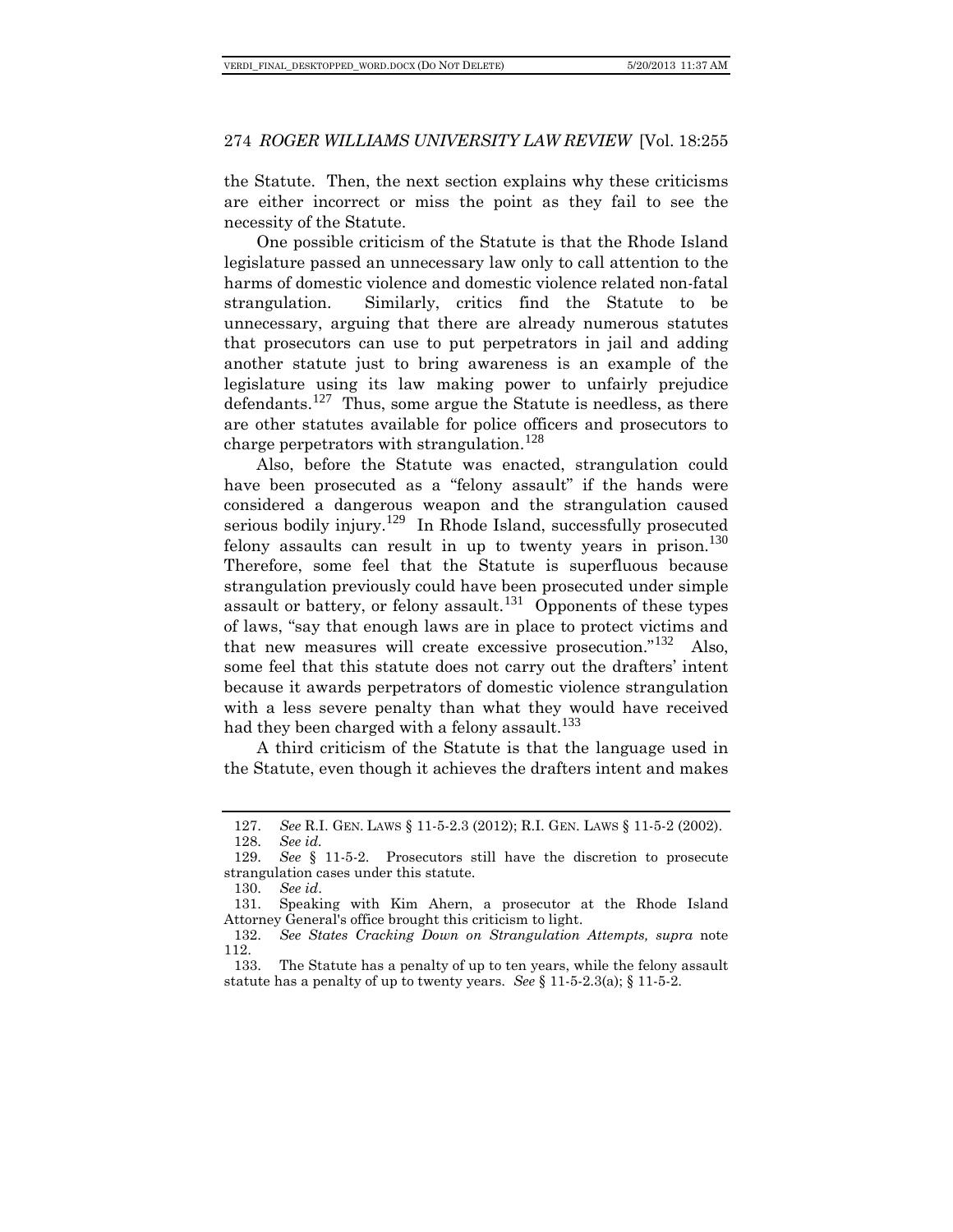the Statute. Then, the next section explains why these criticisms are either incorrect or miss the point as they fail to see the necessity of the Statute.

One possible criticism of the Statute is that the Rhode Island legislature passed an unnecessary law only to call attention to the harms of domestic violence and domestic violence related non-fatal strangulation. Similarly, critics find the Statute to be unnecessary, arguing that there are already numerous statutes that prosecutors can use to put perpetrators in jail and adding another statute just to bring awareness is an example of the legislature using its law making power to unfairly prejudice defendants.<sup>[127](#page-20-0)</sup> Thus, some argue the Statute is needless, as there are other statutes available for police officers and prosecutors to charge perpetrators with strangulation.<sup>[128](#page-20-1)</sup>

Also, before the Statute was enacted, strangulation could have been prosecuted as a "felony assault" if the hands were considered a dangerous weapon and the strangulation caused serious bodily injury.<sup>[129](#page-20-2)</sup> In Rhode Island, successfully prosecuted felony assaults can result in up to twenty years in prison.<sup>[130](#page-20-3)</sup> Therefore, some feel that the Statute is superfluous because strangulation previously could have been prosecuted under simple assault or battery, or felony assault.<sup>[131](#page-20-4)</sup> Opponents of these types of laws, "say that enough laws are in place to protect victims and that new measures will create excessive prosecution."<sup>[132](#page-20-5)</sup> Also, some feel that this statute does not carry out the drafters' intent because it awards perpetrators of domestic violence strangulation with a less severe penalty than what they would have received had they been charged with a felony assault.<sup>[133](#page-20-6)</sup>

A third criticism of the Statute is that the language used in the Statute, even though it achieves the drafters intent and makes

<sup>127.</sup> *See* R.I. GEN. LAWS § 11-5-2.3 (2012); R.I. GEN. LAWS § 11-5-2 (2002).

<sup>128.</sup> *See id.* 

<span id="page-20-2"></span><span id="page-20-1"></span><span id="page-20-0"></span><sup>129.</sup> *See* § 11-5-2. Prosecutors still have the discretion to prosecute strangulation cases under this statute.<br>130. See id.

<sup>130.</sup> *See id*.

<span id="page-20-4"></span><span id="page-20-3"></span><sup>131.</sup> Speaking with Kim Ahern, a prosecutor at the Rhode Island Attorney General's office brought this criticism to light.

<span id="page-20-5"></span><sup>132.</sup> *See States Cracking Down on Strangulation Attempts, supra* note  $\frac{112}{133}$ .

<span id="page-20-6"></span>The Statute has a penalty of up to ten years, while the felony assault statute has a penalty of up to twenty years. *See*  $\S 11-5-2.3(a)$ ;  $\S 11-5-2$ .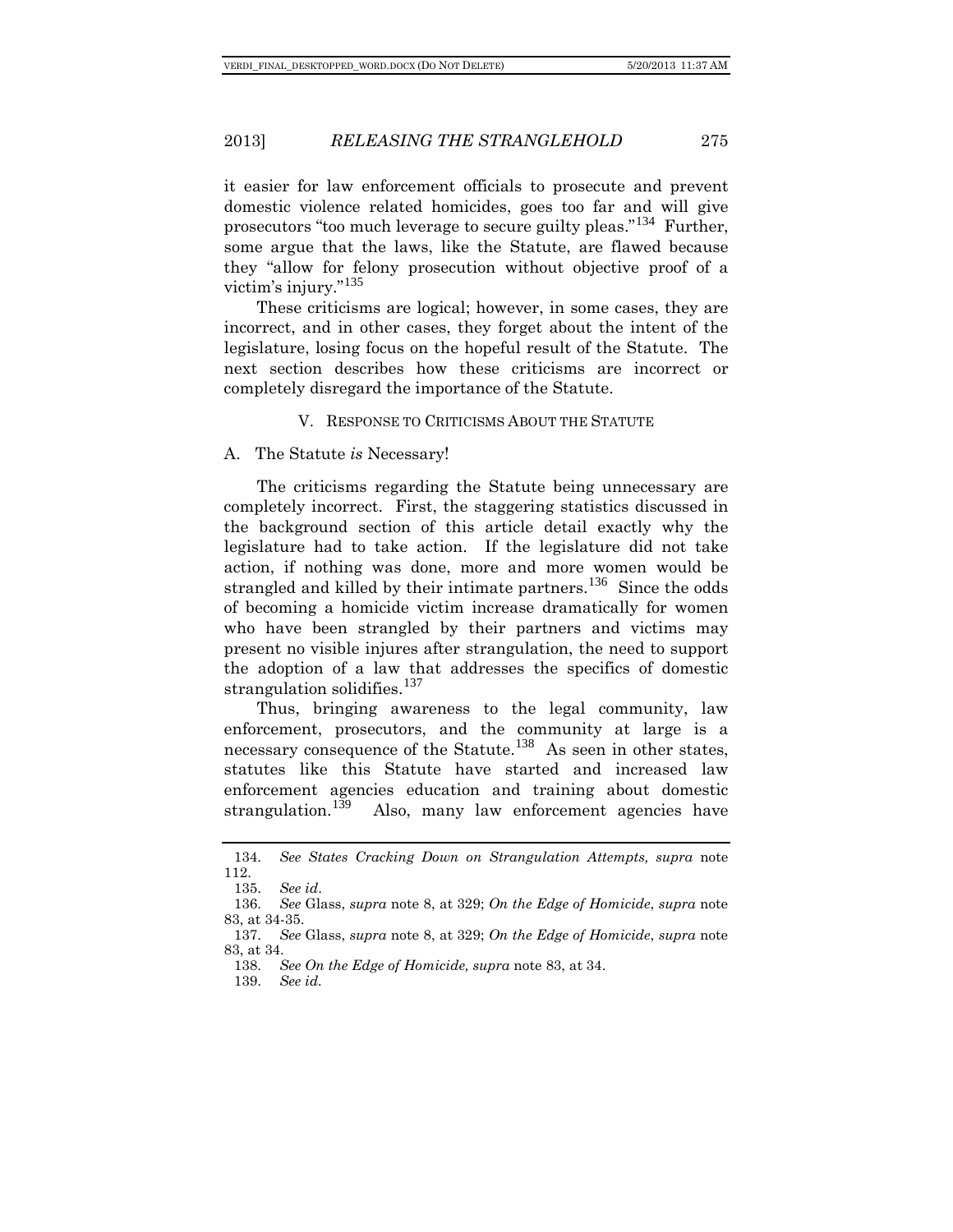it easier for law enforcement officials to prosecute and prevent domestic violence related homicides, goes too far and will give prosecutors "too much leverage to secure guilty pleas."<sup>[134](#page-21-0)</sup> Further, some argue that the laws, like the Statute, are flawed because they "allow for felony prosecution without objective proof of a victim's injury." [135](#page-21-1)

These criticisms are logical; however, in some cases, they are incorrect, and in other cases, they forget about the intent of the legislature, losing focus on the hopeful result of the Statute. The next section describes how these criticisms are incorrect or completely disregard the importance of the Statute.

#### V. RESPONSE TO CRITICISMS ABOUT THE STATUTE

A. The Statute *is* Necessary!

The criticisms regarding the Statute being unnecessary are completely incorrect. First, the staggering statistics discussed in the background section of this article detail exactly why the legislature had to take action. If the legislature did not take action, if nothing was done, more and more women would be strangled and killed by their intimate partners.<sup>[136](#page-21-2)</sup> Since the odds of becoming a homicide victim increase dramatically for women who have been strangled by their partners and victims may present no visible injures after strangulation, the need to support the adoption of a law that addresses the specifics of domestic strangulation solidifies.<sup>[137](#page-21-3)</sup>

Thus, bringing awareness to the legal community, law enforcement, prosecutors, and the community at large is a necessary consequence of the Statute.<sup>[138](#page-21-4)</sup> As seen in other states, statutes like this Statute have started and increased law enforcement agencies education and training about domestic strangulation.<sup>139</sup> Also, many law enforcement agencies have Also, many law enforcement agencies have

<span id="page-21-0"></span><sup>134.</sup> *See States Cracking Down on Strangulation Attempts, supra* note 112.

<sup>135.</sup> *See id*.

<span id="page-21-2"></span><span id="page-21-1"></span><sup>136.</sup> *See* Glass, *supra* note 8, at 329; *On the Edge of Homicide*, *supra* note 83, at 34-35.

<span id="page-21-5"></span><span id="page-21-4"></span><span id="page-21-3"></span><sup>137.</sup> *See* Glass, *supra* note 8, at 329; *On the Edge of Homicide*, *supra* note 83, at 34.

<sup>138.</sup> *See On the Edge of Homicide, supra* note 83, at 34.

<sup>139.</sup> *See id.*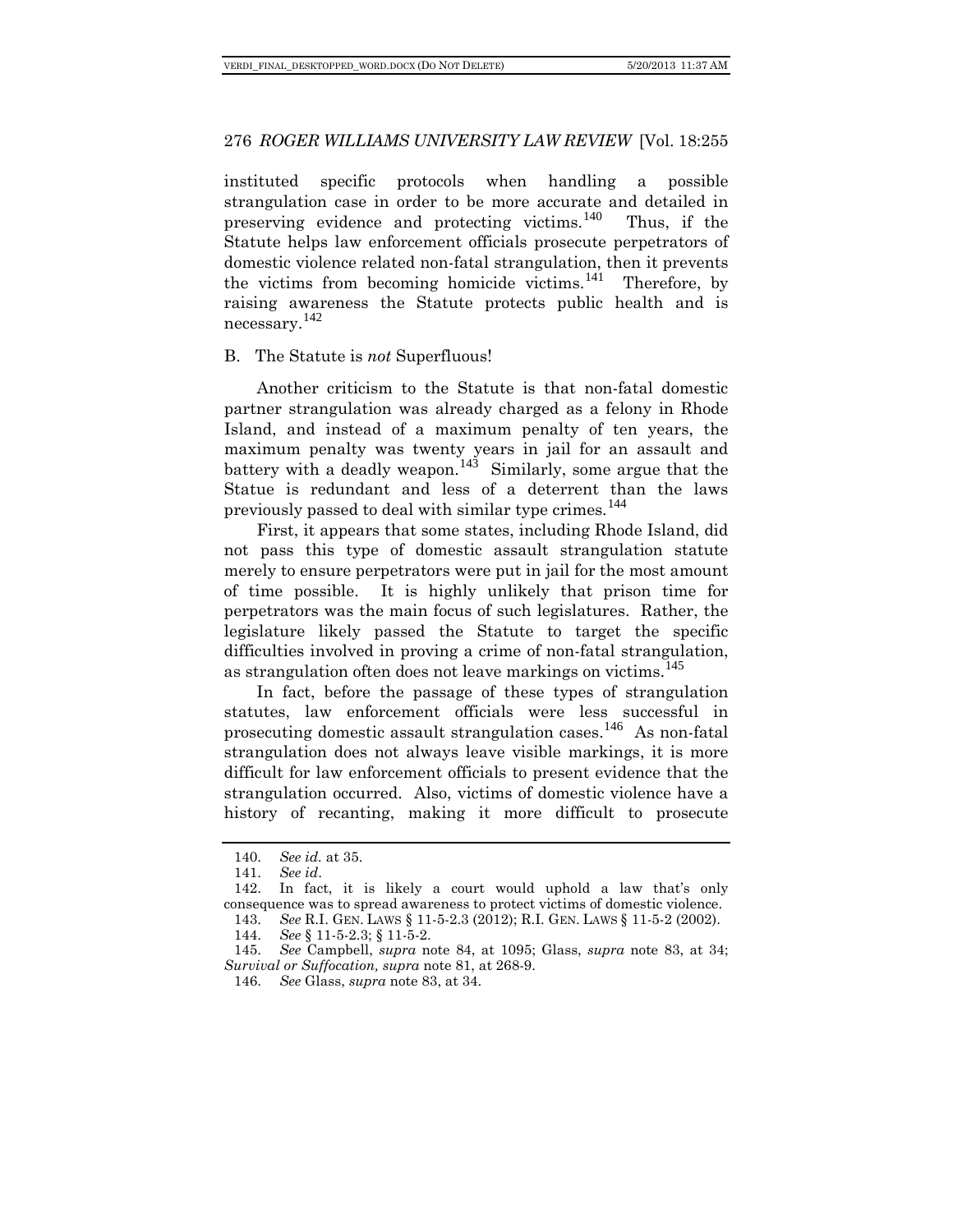instituted specific protocols when handling a possible strangulation case in order to be more accurate and detailed in preserving evidence and protecting victims.<sup>[140](#page-22-0)</sup> Thus, if the Statute helps law enforcement officials prosecute perpetrators of domestic violence related non-fatal strangulation, then it prevents the victims from becoming homicide victims.<sup>[141](#page-22-1)</sup> Therefore, by raising awareness the Statute protects public health and is necessary.[142](#page-22-2)

#### B. The Statute is *not* Superfluous!

Another criticism to the Statute is that non-fatal domestic partner strangulation was already charged as a felony in Rhode Island, and instead of a maximum penalty of ten years, the maximum penalty was twenty years in jail for an assault and battery with a deadly weapon.<sup>[143](#page-22-3)</sup> Similarly, some argue that the Statue is redundant and less of a deterrent than the laws previously passed to deal with similar type crimes.<sup>[144](#page-22-4)</sup>

First, it appears that some states, including Rhode Island, did not pass this type of domestic assault strangulation statute merely to ensure perpetrators were put in jail for the most amount of time possible. It is highly unlikely that prison time for perpetrators was the main focus of such legislatures. Rather, the legislature likely passed the Statute to target the specific difficulties involved in proving a crime of non-fatal strangulation, as strangulation often does not leave markings on victims.<sup>[145](#page-22-5)</sup>

In fact, before the passage of these types of strangulation statutes, law enforcement officials were less successful in prosecuting domestic assault strangulation cases.<sup>[146](#page-22-6)</sup> As non-fatal strangulation does not always leave visible markings, it is more difficult for law enforcement officials to present evidence that the strangulation occurred. Also, victims of domestic violence have a history of recanting, making it more difficult to prosecute

<sup>140.</sup> *See id.* at 35.

<sup>141.</sup> *See id*.

<span id="page-22-3"></span><span id="page-22-2"></span><span id="page-22-1"></span><span id="page-22-0"></span><sup>142.</sup> In fact, it is likely a court would uphold a law that's only consequence was to spread awareness to protect victims of domestic violence.<br>143. See R.I. GEN. LAWS § 11-5-2.3 (2012); R.I. GEN. LAWS § 11-5-2 (2002).

See R.I. GEN. LAWS § 11-5-2.3 (2012); R.I. GEN. LAWS § 11-5-2 (2002).

<sup>144.</sup> *See* § 11-5-2.3; § 11-5-2.

<span id="page-22-6"></span><span id="page-22-5"></span><span id="page-22-4"></span><sup>145.</sup> *See* Campbell, *supra* note 84, at 1095; Glass, *supra* note 83, at 34; *Survival or Suffocation, supra* note 81, at 268-9.

<sup>146.</sup> *See* Glass, *supra* note 83, at 34.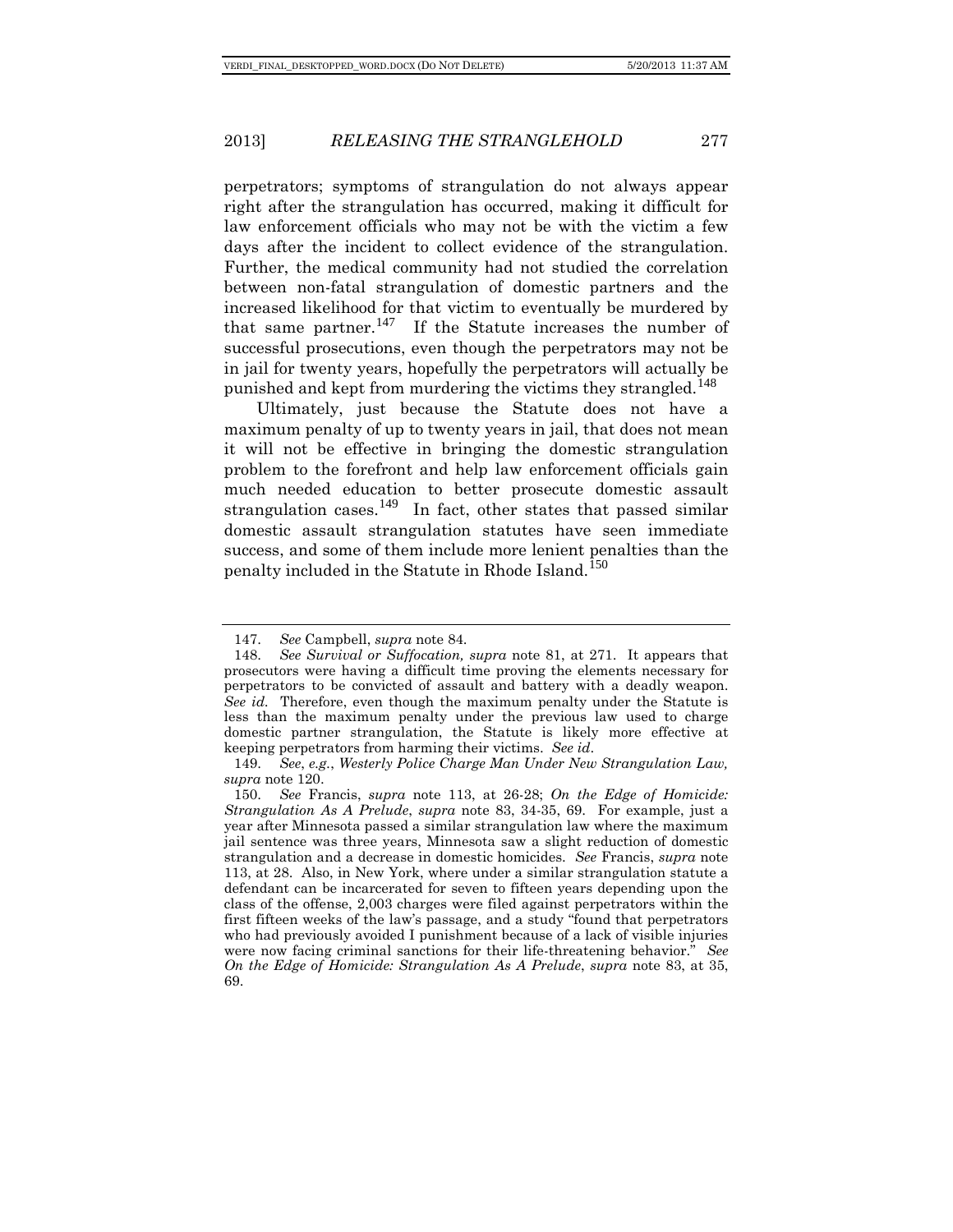perpetrators; symptoms of strangulation do not always appear right after the strangulation has occurred, making it difficult for law enforcement officials who may not be with the victim a few days after the incident to collect evidence of the strangulation. Further, the medical community had not studied the correlation between non-fatal strangulation of domestic partners and the increased likelihood for that victim to eventually be murdered by that same partner.<sup>[147](#page-23-0)</sup> If the Statute increases the number of successful prosecutions, even though the perpetrators may not be in jail for twenty years, hopefully the perpetrators will actually be punished and kept from murdering the victims they strangled.<sup>[148](#page-23-1)</sup>

Ultimately, just because the Statute does not have a maximum penalty of up to twenty years in jail, that does not mean it will not be effective in bringing the domestic strangulation problem to the forefront and help law enforcement officials gain much needed education to better prosecute domestic assault strangulation cases.<sup>[149](#page-23-2)</sup> In fact, other states that passed similar domestic assault strangulation statutes have seen immediate success, and some of them include more lenient penalties than the penalty included in the Statute in Rhode Island.<sup>[150](#page-23-3)</sup>

<sup>147.</sup> *See* Campbell, *supra* note 84.

<span id="page-23-1"></span><span id="page-23-0"></span><sup>148.</sup> *See Survival or Suffocation, supra* note 81, at 271. It appears that prosecutors were having a difficult time proving the elements necessary for perpetrators to be convicted of assault and battery with a deadly weapon. *See id.* Therefore, even though the maximum penalty under the Statute is less than the maximum penalty under the previous law used to charge domestic partner strangulation, the Statute is likely more effective at keeping perpetrators from harming their victims. *See id*.

<sup>149.</sup> *See*, *e.g.*, *Westerly Police Charge Man Under New Strangulation Law, supra* note 120.

<span id="page-23-3"></span><span id="page-23-2"></span><sup>150.</sup> *See* Francis, *supra* note 113, at 26-28; *On the Edge of Homicide: Strangulation As A Prelude*, *supra* note 83, 34-35, 69. For example, just a year after Minnesota passed a similar strangulation law where the maximum jail sentence was three years, Minnesota saw a slight reduction of domestic strangulation and a decrease in domestic homicides. *See* Francis, *supra* note 113, at 28. Also, in New York, where under a similar strangulation statute a defendant can be incarcerated for seven to fifteen years depending upon the class of the offense, 2,003 charges were filed against perpetrators within the first fifteen weeks of the law's passage, and a study "found that perpetrators who had previously avoided I punishment because of a lack of visible injuries were now facing criminal sanctions for their life-threatening behavior." *See On the Edge of Homicide: Strangulation As A Prelude*, *supra* note 83, at 35, 69.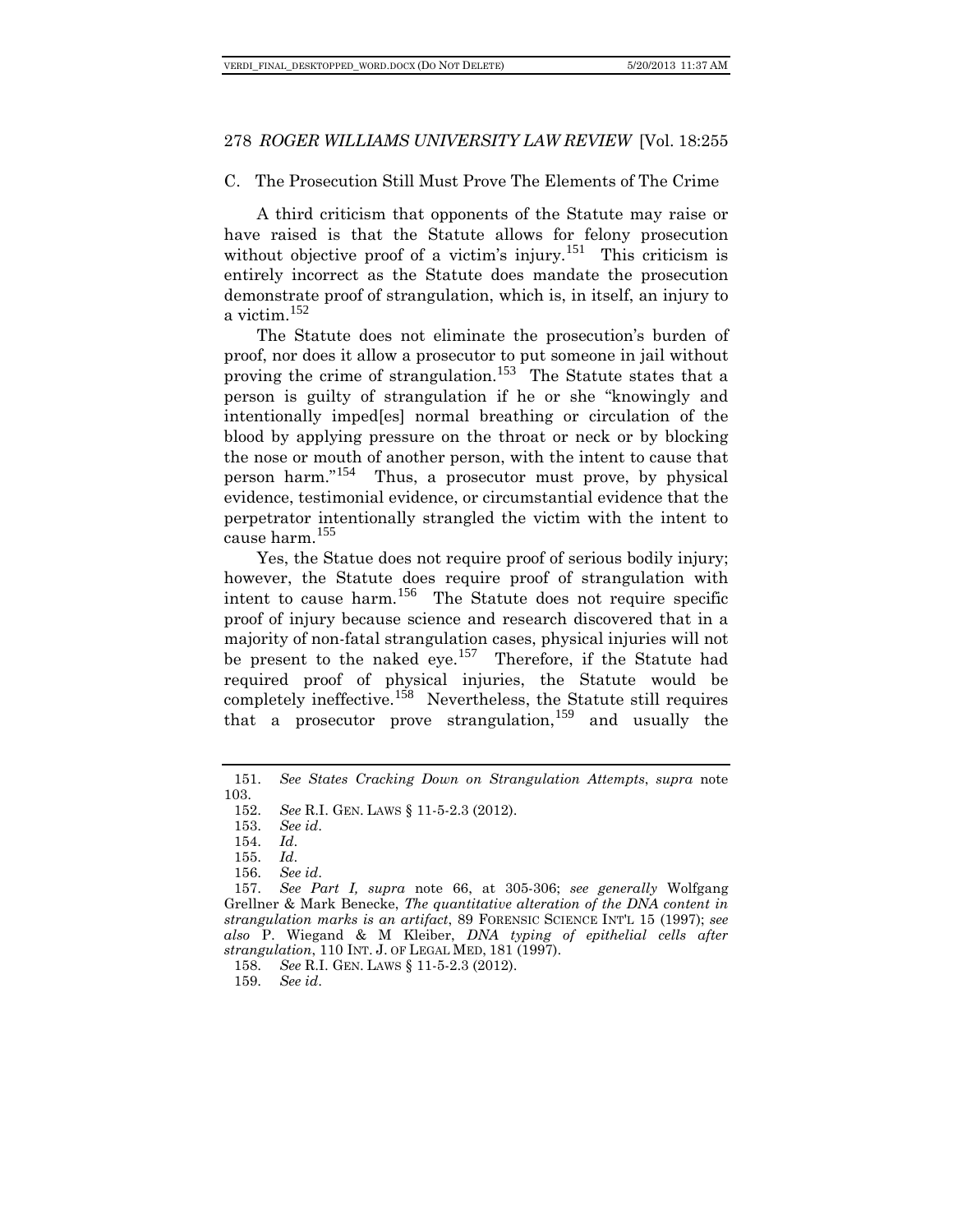#### C. The Prosecution Still Must Prove The Elements of The Crime

A third criticism that opponents of the Statute may raise or have raised is that the Statute allows for felony prosecution without objective proof of a victim's injury.<sup>[151](#page-24-0)</sup> This criticism is entirely incorrect as the Statute does mandate the prosecution demonstrate proof of strangulation, which is, in itself, an injury to a victim.[152](#page-24-1)

The Statute does not eliminate the prosecution's burden of proof, nor does it allow a prosecutor to put someone in jail without proving the crime of strangulation.<sup>[153](#page-24-2)</sup> The Statute states that a person is guilty of strangulation if he or she "knowingly and intentionally imped[es] normal breathing or circulation of the blood by applying pressure on the throat or neck or by blocking the nose or mouth of another person, with the intent to cause that person harm."[154](#page-24-3) Thus, a prosecutor must prove, by physical evidence, testimonial evidence, or circumstantial evidence that the perpetrator intentionally strangled the victim with the intent to cause harm.[155](#page-24-4)

Yes, the Statue does not require proof of serious bodily injury; however, the Statute does require proof of strangulation with intent to cause harm.<sup>[156](#page-24-5)</sup> The Statute does not require specific proof of injury because science and research discovered that in a majority of non-fatal strangulation cases, physical injuries will not be present to the naked eye.<sup>[157](#page-24-6)</sup> Therefore, if the Statute had required proof of physical injuries, the Statute would be completely ineffective.<sup>[158](#page-24-7)</sup> Nevertheless, the Statute still requires that a prosecutor prove strangulation,  $159$  and usually the

<span id="page-24-2"></span><span id="page-24-1"></span><span id="page-24-0"></span><sup>151.</sup> *See States Cracking Down on Strangulation Attempts*, *supra* note 103.

<sup>152.</sup> *See* R.I. GEN. LAWS § 11-5-2.3 (2012).

<sup>153.</sup> *See id*.

<sup>154.</sup> *Id*.

<sup>155.</sup> *Id*.

<sup>156.</sup> *See id*.

<span id="page-24-6"></span><span id="page-24-5"></span><span id="page-24-4"></span><span id="page-24-3"></span><sup>157.</sup> *See Part I, supra* note 66, at 305-306; *see generally* Wolfgang Grellner & Mark Benecke, *The quantitative alteration of the DNA content in strangulation marks is an artifact*, 89 FORENSIC SCIENCE INT'L 15 (1997); *see also* P. Wiegand & M Kleiber, *DNA typing of epithelial cells after strangulation*, 110 INT. J. OF LEGAL MED, 181 (1997).

<span id="page-24-7"></span><sup>158.</sup> *See* R.I. GEN. LAWS § 11-5-2.3 (2012).

<span id="page-24-8"></span><sup>159.</sup> *See id*.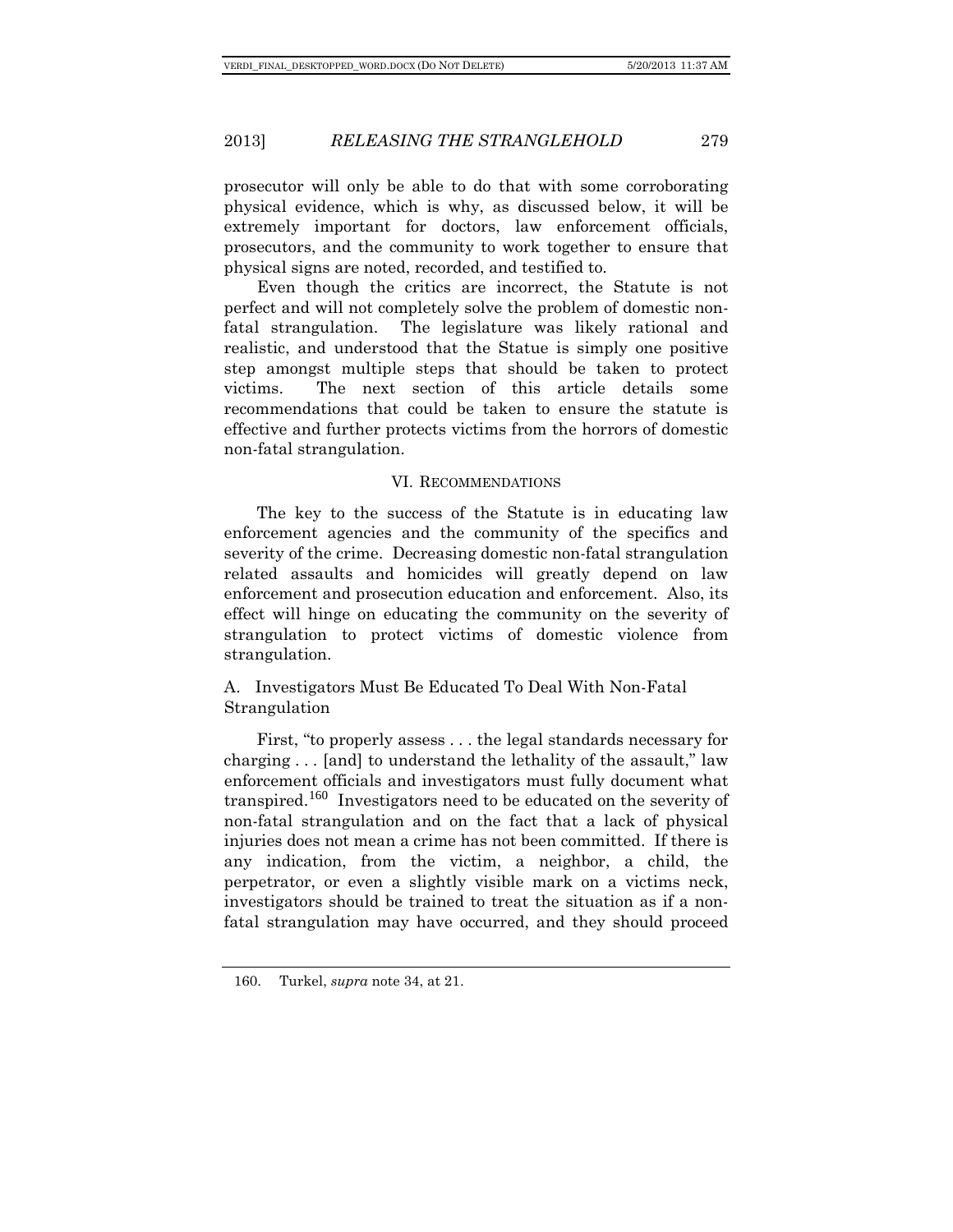prosecutor will only be able to do that with some corroborating physical evidence, which is why, as discussed below, it will be extremely important for doctors, law enforcement officials, prosecutors, and the community to work together to ensure that physical signs are noted, recorded, and testified to.

Even though the critics are incorrect, the Statute is not perfect and will not completely solve the problem of domestic nonfatal strangulation. The legislature was likely rational and realistic, and understood that the Statue is simply one positive step amongst multiple steps that should be taken to protect victims. The next section of this article details some recommendations that could be taken to ensure the statute is effective and further protects victims from the horrors of domestic non-fatal strangulation.

#### VI. RECOMMENDATIONS

The key to the success of the Statute is in educating law enforcement agencies and the community of the specifics and severity of the crime. Decreasing domestic non-fatal strangulation related assaults and homicides will greatly depend on law enforcement and prosecution education and enforcement. Also, its effect will hinge on educating the community on the severity of strangulation to protect victims of domestic violence from strangulation.

# A. Investigators Must Be Educated To Deal With Non-Fatal Strangulation

First, "to properly assess . . . the legal standards necessary for charging . . . [and] to understand the lethality of the assault," law enforcement officials and investigators must fully document what transpired.<sup>[160](#page-25-0)</sup> Investigators need to be educated on the severity of non-fatal strangulation and on the fact that a lack of physical injuries does not mean a crime has not been committed. If there is any indication, from the victim, a neighbor, a child, the perpetrator, or even a slightly visible mark on a victims neck, investigators should be trained to treat the situation as if a nonfatal strangulation may have occurred, and they should proceed

<span id="page-25-0"></span><sup>160.</sup> Turkel, *supra* note 34, at 21.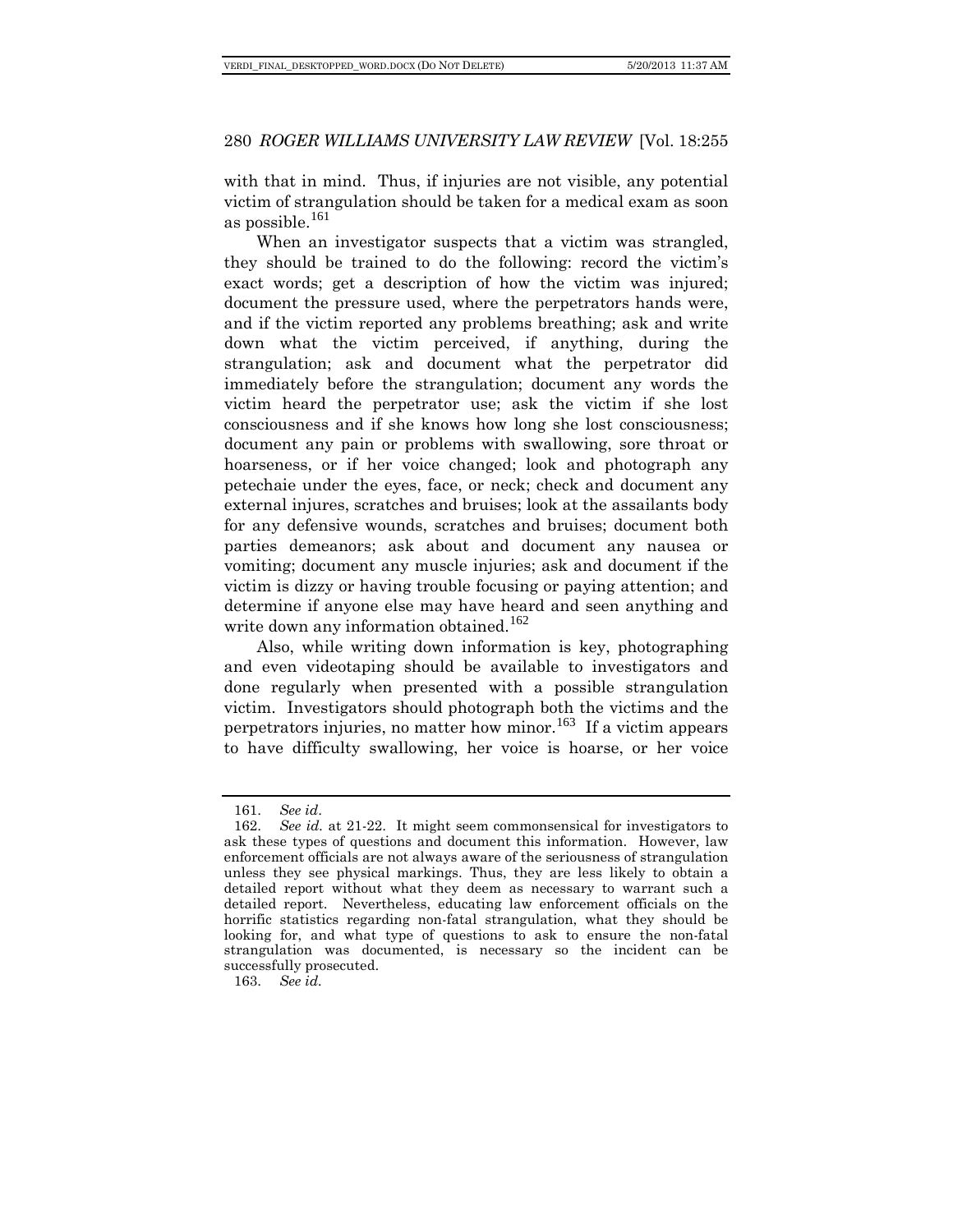with that in mind. Thus, if injuries are not visible, any potential victim of strangulation should be taken for a medical exam as soon as possible.<sup>[161](#page-26-0)</sup>

When an investigator suspects that a victim was strangled, they should be trained to do the following: record the victim's exact words; get a description of how the victim was injured; document the pressure used, where the perpetrators hands were, and if the victim reported any problems breathing; ask and write down what the victim perceived, if anything, during the strangulation; ask and document what the perpetrator did immediately before the strangulation; document any words the victim heard the perpetrator use; ask the victim if she lost consciousness and if she knows how long she lost consciousness; document any pain or problems with swallowing, sore throat or hoarseness, or if her voice changed; look and photograph any petechaie under the eyes, face, or neck; check and document any external injures, scratches and bruises; look at the assailants body for any defensive wounds, scratches and bruises; document both parties demeanors; ask about and document any nausea or vomiting; document any muscle injuries; ask and document if the victim is dizzy or having trouble focusing or paying attention; and determine if anyone else may have heard and seen anything and write down any information obtained.<sup>[162](#page-26-1)</sup>

Also, while writing down information is key, photographing and even videotaping should be available to investigators and done regularly when presented with a possible strangulation victim. Investigators should photograph both the victims and the perpetrators injuries, no matter how minor.<sup>[163](#page-26-2)</sup> If a victim appears to have difficulty swallowing, her voice is hoarse, or her voice

<span id="page-26-2"></span>163. *See id.*

<sup>161.</sup> *See id*.

<span id="page-26-1"></span><span id="page-26-0"></span><sup>162.</sup> *See id.* at 21-22. It might seem commonsensical for investigators to ask these types of questions and document this information. However, law enforcement officials are not always aware of the seriousness of strangulation unless they see physical markings. Thus, they are less likely to obtain a detailed report without what they deem as necessary to warrant such a detailed report. Nevertheless, educating law enforcement officials on the horrific statistics regarding non-fatal strangulation, what they should be looking for, and what type of questions to ask to ensure the non-fatal strangulation was documented, is necessary so the incident can be successfully prosecuted.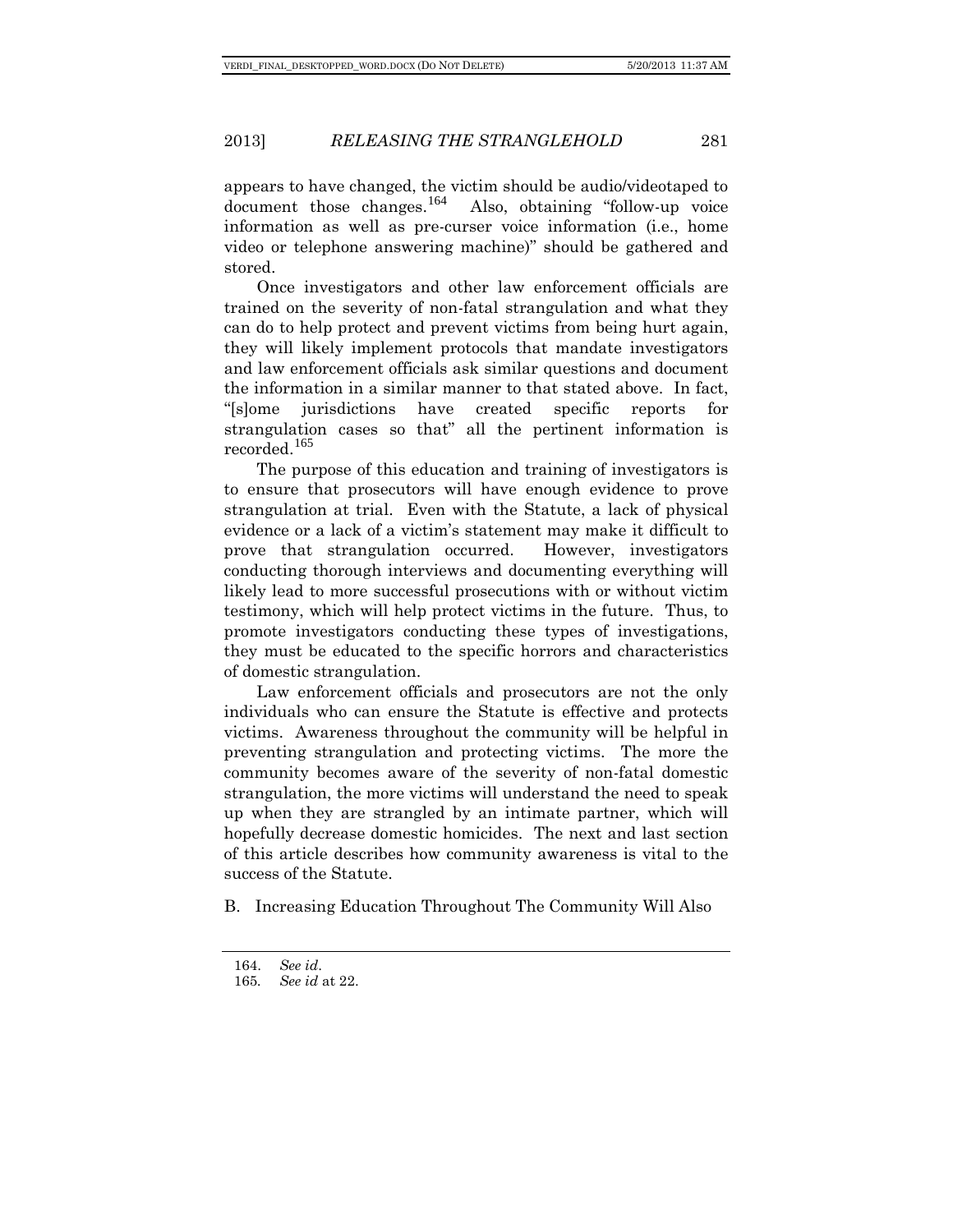appears to have changed, the victim should be audio/videotaped to document those changes.<sup>[164](#page-27-0)</sup> Also, obtaining "follow-up voice" information as well as pre-curser voice information (i.e., home video or telephone answering machine)" should be gathered and stored.

Once investigators and other law enforcement officials are trained on the severity of non-fatal strangulation and what they can do to help protect and prevent victims from being hurt again, they will likely implement protocols that mandate investigators and law enforcement officials ask similar questions and document the information in a similar manner to that stated above. In fact, "[s]ome jurisdictions have created specific reports for strangulation cases so that" all the pertinent information is recorded.[165](#page-27-1)

The purpose of this education and training of investigators is to ensure that prosecutors will have enough evidence to prove strangulation at trial. Even with the Statute, a lack of physical evidence or a lack of a victim's statement may make it difficult to prove that strangulation occurred. However, investigators conducting thorough interviews and documenting everything will likely lead to more successful prosecutions with or without victim testimony, which will help protect victims in the future. Thus, to promote investigators conducting these types of investigations, they must be educated to the specific horrors and characteristics of domestic strangulation.

Law enforcement officials and prosecutors are not the only individuals who can ensure the Statute is effective and protects victims. Awareness throughout the community will be helpful in preventing strangulation and protecting victims. The more the community becomes aware of the severity of non-fatal domestic strangulation, the more victims will understand the need to speak up when they are strangled by an intimate partner, which will hopefully decrease domestic homicides. The next and last section of this article describes how community awareness is vital to the success of the Statute.

<span id="page-27-0"></span>B. Increasing Education Throughout The Community Will Also

<span id="page-27-1"></span><sup>164.</sup> *See id*.

<sup>165</sup>*. See id* at 22.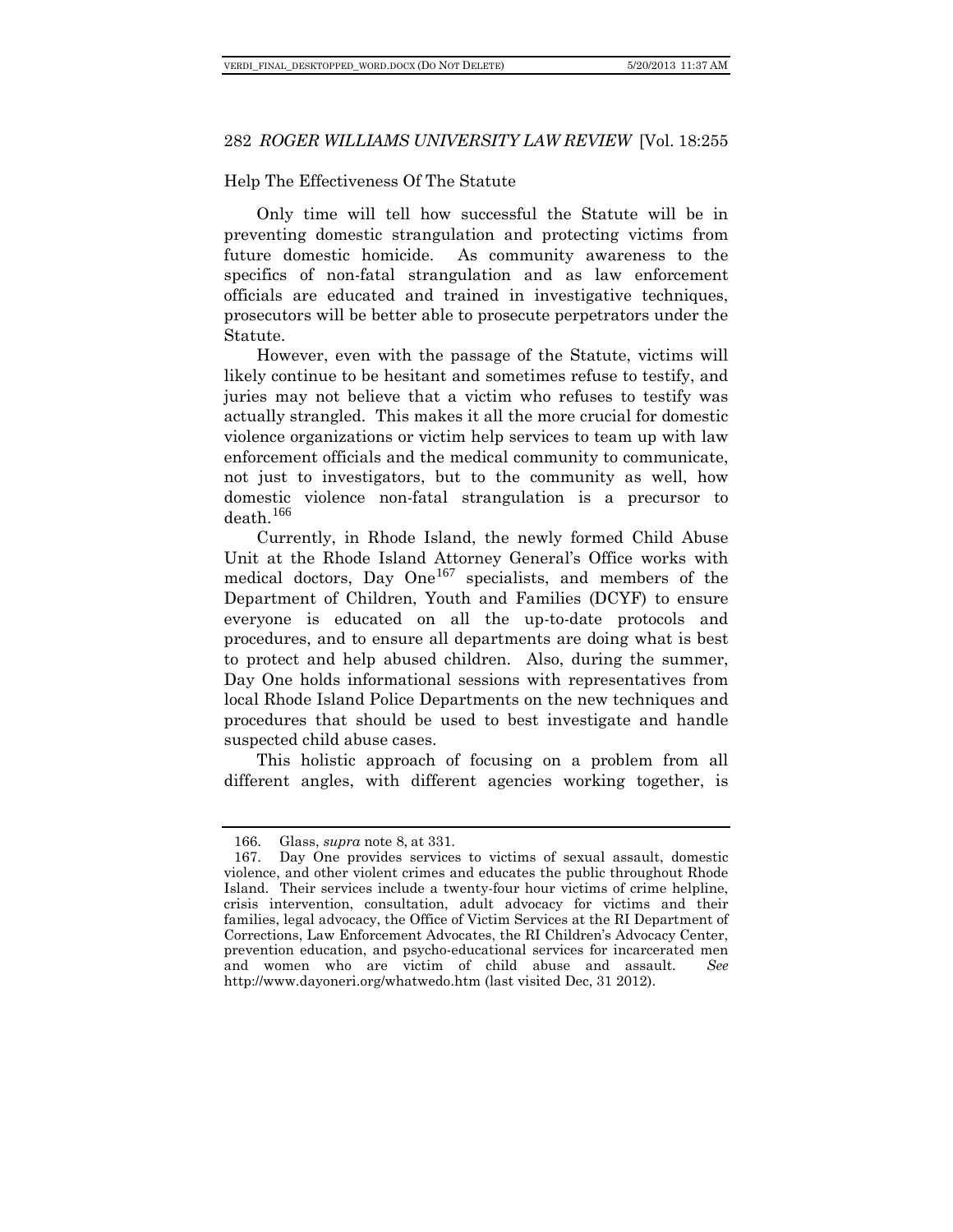# Help The Effectiveness Of The Statute

Only time will tell how successful the Statute will be in preventing domestic strangulation and protecting victims from future domestic homicide. As community awareness to the specifics of non-fatal strangulation and as law enforcement officials are educated and trained in investigative techniques, prosecutors will be better able to prosecute perpetrators under the Statute.

However, even with the passage of the Statute, victims will likely continue to be hesitant and sometimes refuse to testify, and juries may not believe that a victim who refuses to testify was actually strangled. This makes it all the more crucial for domestic violence organizations or victim help services to team up with law enforcement officials and the medical community to communicate, not just to investigators, but to the community as well, how domestic violence non-fatal strangulation is a precursor to death.<sup>[166](#page-28-0)</sup>

Currently, in Rhode Island, the newly formed Child Abuse Unit at the Rhode Island Attorney General's Office works with medical doctors, Day One<sup>[167](#page-28-1)</sup> specialists, and members of the Department of Children, Youth and Families (DCYF) to ensure everyone is educated on all the up-to-date protocols and procedures, and to ensure all departments are doing what is best to protect and help abused children. Also, during the summer, Day One holds informational sessions with representatives from local Rhode Island Police Departments on the new techniques and procedures that should be used to best investigate and handle suspected child abuse cases.

This holistic approach of focusing on a problem from all different angles, with different agencies working together, is

<sup>166.</sup> Glass, *supra* note 8, at 331.

<span id="page-28-1"></span><span id="page-28-0"></span><sup>167.</sup> Day One provides services to victims of sexual assault, domestic violence, and other violent crimes and educates the public throughout Rhode Island. Their services include a twenty-four hour victims of crime helpline, crisis intervention, consultation, adult advocacy for victims and their families, legal advocacy, the Office of Victim Services at the RI Department of Corrections, Law Enforcement Advocates, the RI Children's Advocacy Center, prevention education, and psycho-educational services for incarcerated men and women who are victim of child abuse and assault. *See*  <http://www.dayoneri.org/whatwedo.htm> (last visited Dec, 31 2012).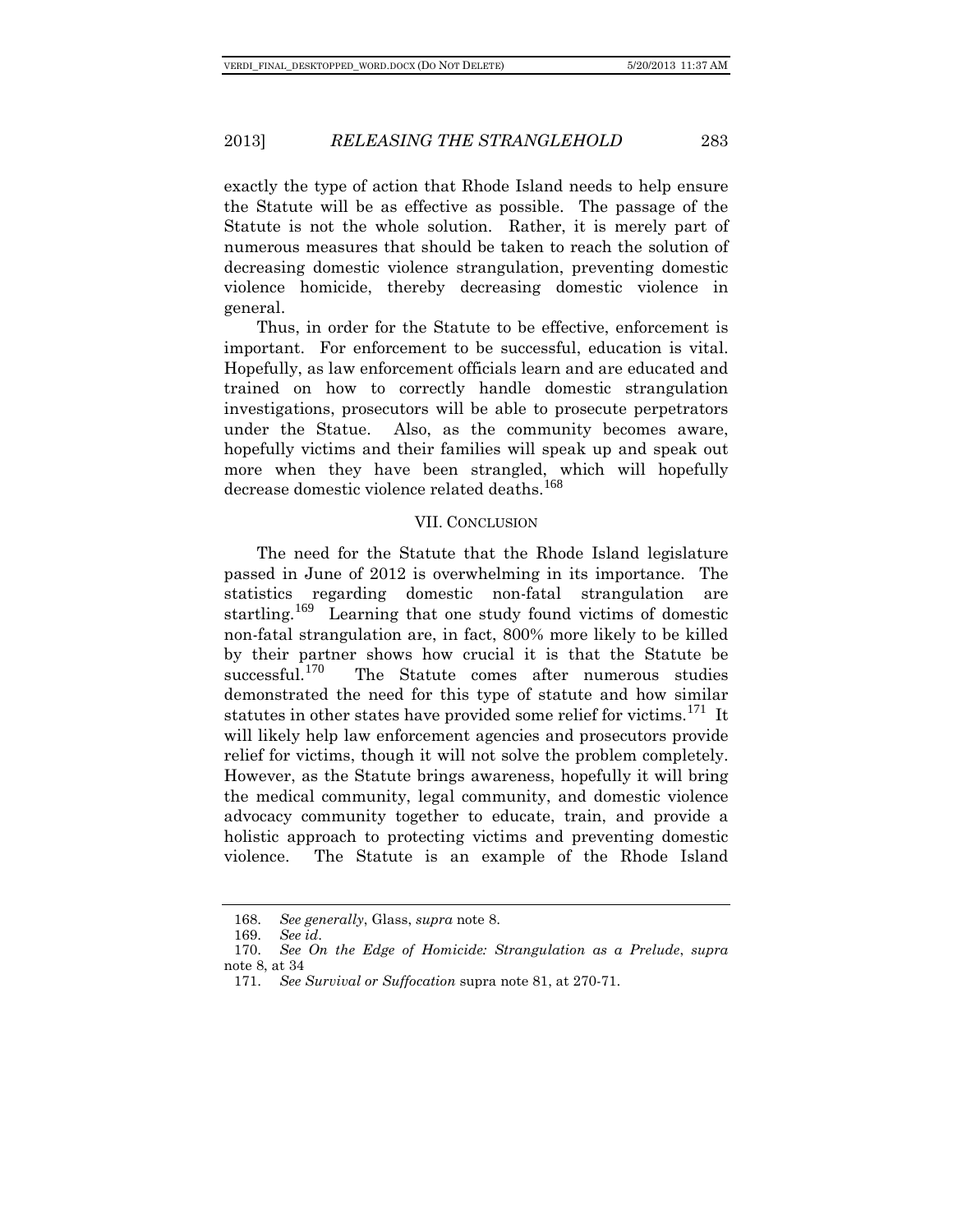exactly the type of action that Rhode Island needs to help ensure the Statute will be as effective as possible. The passage of the Statute is not the whole solution. Rather, it is merely part of numerous measures that should be taken to reach the solution of decreasing domestic violence strangulation, preventing domestic violence homicide, thereby decreasing domestic violence in general.

Thus, in order for the Statute to be effective, enforcement is important. For enforcement to be successful, education is vital. Hopefully, as law enforcement officials learn and are educated and trained on how to correctly handle domestic strangulation investigations, prosecutors will be able to prosecute perpetrators under the Statue. Also, as the community becomes aware, hopefully victims and their families will speak up and speak out more when they have been strangled, which will hopefully decrease domestic violence related deaths.<sup>[168](#page-29-0)</sup>

# VII. CONCLUSION

The need for the Statute that the Rhode Island legislature passed in June of 2012 is overwhelming in its importance. The statistics regarding domestic non-fatal strangulation are startling.[169](#page-29-1) Learning that one study found victims of domestic non-fatal strangulation are, in fact, 800% more likely to be killed by their partner shows how crucial it is that the Statute be successful.<sup>[170](#page-29-2)</sup> The Statute comes after numerous studies demonstrated the need for this type of statute and how similar statutes in other states have provided some relief for victims.<sup>[171](#page-29-3)</sup> It will likely help law enforcement agencies and prosecutors provide relief for victims, though it will not solve the problem completely. However, as the Statute brings awareness, hopefully it will bring the medical community, legal community, and domestic violence advocacy community together to educate, train, and provide a holistic approach to protecting victims and preventing domestic violence. The Statute is an example of the Rhode Island

<sup>168.</sup> *See generally*, Glass, *supra* note 8.

<sup>169.</sup> *See id*.

<span id="page-29-3"></span><span id="page-29-2"></span><span id="page-29-1"></span><span id="page-29-0"></span><sup>170.</sup> *See On the Edge of Homicide: Strangulation as a Prelude*, *supra*  note 8, at 34

<sup>171.</sup> *See Survival or Suffocation* supra note 81, at 270-71.